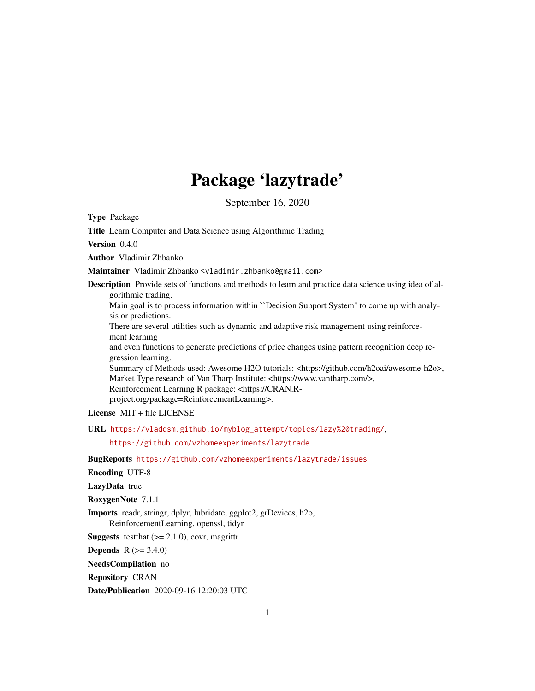## Package 'lazytrade'

September 16, 2020

Type Package

Title Learn Computer and Data Science using Algorithmic Trading

Version 0.4.0

Author Vladimir Zhbanko

Maintainer Vladimir Zhbanko <vladimir.zhbanko@gmail.com>

Description Provide sets of functions and methods to learn and practice data science using idea of algorithmic trading.

Main goal is to process information within ``Decision Support System'' to come up with analysis or predictions.

There are several utilities such as dynamic and adaptive risk management using reinforcement learning

and even functions to generate predictions of price changes using pattern recognition deep regression learning.

Summary of Methods used: Awesome H2O tutorials: <https://github.com/h2oai/awesome-h2o>, Market Type research of Van Tharp Institute: <https://www.vantharp.com/>, Reinforcement Learning R package: <https://CRAN.R-

project.org/package=ReinforcementLearning>.

License MIT + file LICENSE

URL [https://vladdsm.github.io/myblog\\_attempt/topics/lazy%20trading/](https://vladdsm.github.io/myblog_attempt/topics/lazy%20trading/),

<https://github.com/vzhomeexperiments/lazytrade>

BugReports <https://github.com/vzhomeexperiments/lazytrade/issues>

Encoding UTF-8

LazyData true

RoxygenNote 7.1.1

Imports readr, stringr, dplyr, lubridate, ggplot2, grDevices, h2o, ReinforcementLearning, openssl, tidyr

**Suggests** test that  $(>= 2.1.0)$ , covr, magnittr

**Depends** R  $(>= 3.4.0)$ 

NeedsCompilation no

Repository CRAN

Date/Publication 2020-09-16 12:20:03 UTC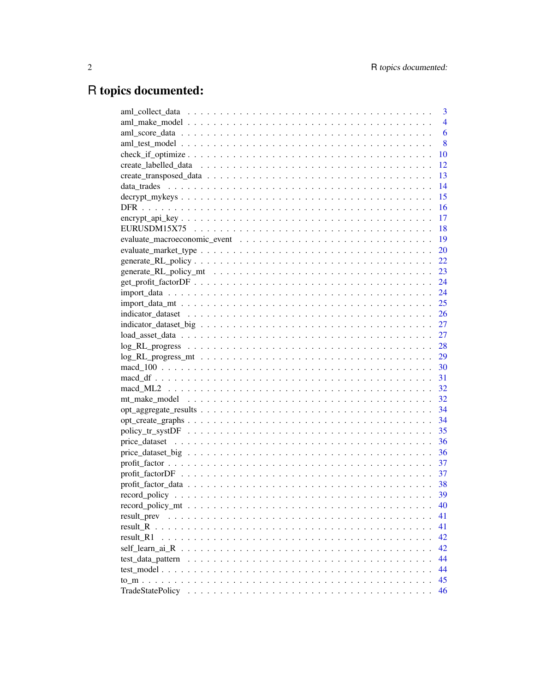## R topics documented:

|             | 3              |
|-------------|----------------|
|             | $\overline{4}$ |
|             | 6              |
|             | 8              |
|             | 10             |
|             | 12             |
|             | 13             |
|             | 14             |
|             | 15             |
|             | 16             |
|             | 17             |
|             | 18             |
|             | <b>19</b>      |
|             | 20             |
|             | 22             |
|             |                |
|             |                |
|             |                |
|             |                |
|             |                |
|             |                |
|             |                |
|             |                |
|             |                |
|             |                |
|             |                |
|             |                |
|             |                |
|             |                |
|             |                |
|             |                |
|             |                |
|             |                |
|             | 37             |
|             | 37             |
|             |                |
|             | 39             |
|             | 40             |
| result_prev | 41             |
| result R    | 41             |
| result R1   | 42             |
|             | 42             |
|             | 44             |
|             | 44             |
|             | 45             |
|             | 46             |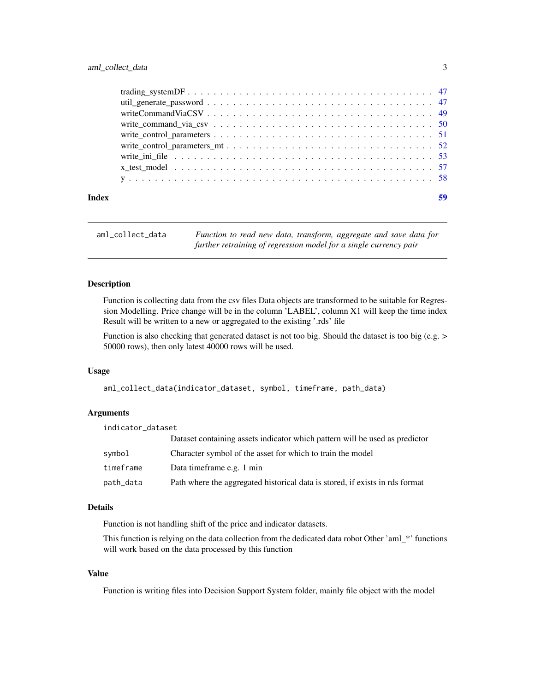<span id="page-2-0"></span>

| Index | 59 |
|-------|----|
|       |    |
|       |    |
|       |    |
|       |    |
|       |    |
|       |    |
|       |    |
|       |    |
|       |    |

```
aml_collect_data Function to read new data, transform, aggregate and save data for
                         further retraining of regression model for a single currency pair
```
Function is collecting data from the csv files Data objects are transformed to be suitable for Regression Modelling. Price change will be in the column 'LABEL', column X1 will keep the time index Result will be written to a new or aggregated to the existing '.rds' file

Function is also checking that generated dataset is not too big. Should the dataset is too big (e.g. > 50000 rows), then only latest 40000 rows will be used.

#### Usage

```
aml_collect_data(indicator_dataset, symbol, timeframe, path_data)
```
#### Arguments

| indicator_dataset |                                                                              |
|-------------------|------------------------------------------------------------------------------|
|                   | Dataset containing assets indicator which pattern will be used as predictor  |
| symbol            | Character symbol of the asset for which to train the model                   |
| timeframe         | Data timeframe e.g. 1 min                                                    |
| path_data         | Path where the aggregated historical data is stored, if exists in rds format |

#### Details

Function is not handling shift of the price and indicator datasets.

This function is relying on the data collection from the dedicated data robot Other 'aml\_\*' functions will work based on the data processed by this function

#### Value

Function is writing files into Decision Support System folder, mainly file object with the model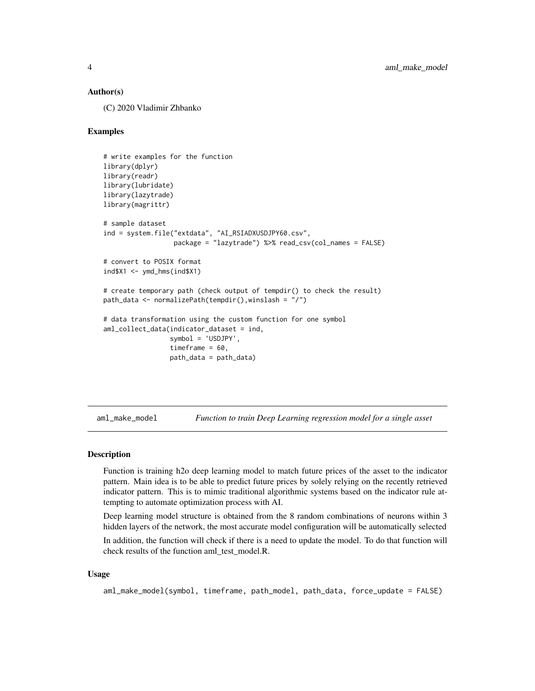#### <span id="page-3-0"></span>Author(s)

(C) 2020 Vladimir Zhbanko

## Examples

```
# write examples for the function
library(dplyr)
library(readr)
library(lubridate)
library(lazytrade)
library(magrittr)
# sample dataset
ind = system.file("extdata", "AI_RSIADXUSDJPY60.csv",
                  package = "lazytrade") %>% read_csv(col_names = FALSE)
# convert to POSIX format
ind$X1 <- ymd_hms(ind$X1)
# create temporary path (check output of tempdir() to check the result)
path_data <- normalizePath(tempdir(),winslash = "/")
# data transformation using the custom function for one symbol
aml_collect_data(indicator_dataset = ind,
                 symbol = 'USDJPY',
                 timeframe = 60.
                 path_data = path_data)
```
aml\_make\_model *Function to train Deep Learning regression model for a single asset*

#### Description

Function is training h2o deep learning model to match future prices of the asset to the indicator pattern. Main idea is to be able to predict future prices by solely relying on the recently retrieved indicator pattern. This is to mimic traditional algorithmic systems based on the indicator rule attempting to automate optimization process with AI.

Deep learning model structure is obtained from the 8 random combinations of neurons within 3 hidden layers of the network, the most accurate model configuration will be automatically selected

In addition, the function will check if there is a need to update the model. To do that function will check results of the function aml\_test\_model.R.

#### Usage

aml\_make\_model(symbol, timeframe, path\_model, path\_data, force\_update = FALSE)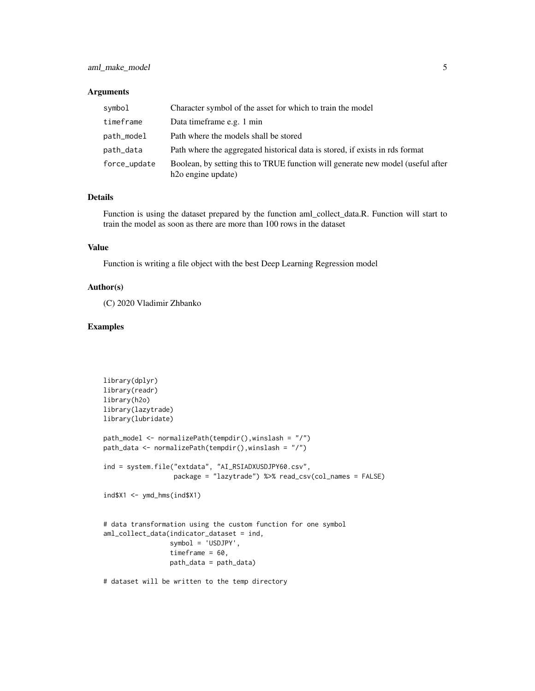#### Arguments

| symbol       | Character symbol of the asset for which to train the model                                                         |
|--------------|--------------------------------------------------------------------------------------------------------------------|
| timeframe    | Data timeframe e.g. 1 min                                                                                          |
| path_model   | Path where the models shall be stored                                                                              |
| path_data    | Path where the aggregated historical data is stored, if exists in rds format                                       |
| force_update | Boolean, by setting this to TRUE function will generate new model (useful after<br>h <sub>2</sub> o engine update) |

## Details

Function is using the dataset prepared by the function aml\_collect\_data.R. Function will start to train the model as soon as there are more than 100 rows in the dataset

## Value

Function is writing a file object with the best Deep Learning Regression model

## Author(s)

(C) 2020 Vladimir Zhbanko

```
library(dplyr)
library(readr)
library(h2o)
library(lazytrade)
library(lubridate)
path_model <- normalizePath(tempdir(),winslash = "/")
path_data <- normalizePath(tempdir(),winslash = "/")
ind = system.file("extdata", "AI_RSIADXUSDJPY60.csv",
                  package = "lazytrade") %>% read_csv(col_names = FALSE)
ind$X1 <- ymd_hms(ind$X1)
# data transformation using the custom function for one symbol
aml_collect_data(indicator_dataset = ind,
                 symbol = 'USDJPY',
                 timeframe = 60,
                 path_data = path_data)
# dataset will be written to the temp directory
```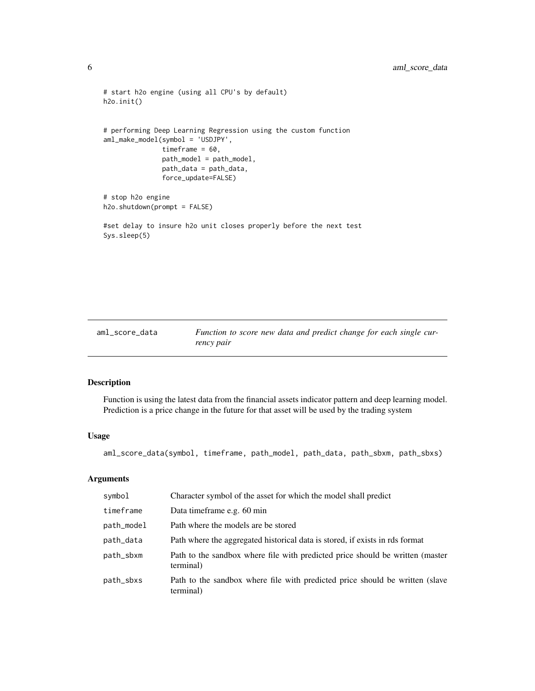```
# start h2o engine (using all CPU's by default)
h2o.init()
# performing Deep Learning Regression using the custom function
aml_make_model(symbol = 'USDJPY',
              timeframe = 60,
               path_model = path_model,
               path_data = path_data,
               force_update=FALSE)
# stop h2o engine
h2o.shutdown(prompt = FALSE)
#set delay to insure h2o unit closes properly before the next test
Sys.sleep(5)
```

| aml_score_data | Function to score new data and predict change for each single cur- |
|----------------|--------------------------------------------------------------------|
|                | rency pair                                                         |

Function is using the latest data from the financial assets indicator pattern and deep learning model. Prediction is a price change in the future for that asset will be used by the trading system

#### Usage

aml\_score\_data(symbol, timeframe, path\_model, path\_data, path\_sbxm, path\_sbxs)

#### Arguments

| symbol     | Character symbol of the asset for which the model shall predict                            |
|------------|--------------------------------------------------------------------------------------------|
| timeframe  | Data time frame e.g. 60 min                                                                |
| path_model | Path where the models are be stored                                                        |
| path_data  | Path where the aggregated historical data is stored, if exists in rds format               |
| path_sbxm  | Path to the sandbox where file with predicted price should be written (master<br>terminal) |
| path_sbxs  | Path to the sandbox where file with predicted price should be written (slave<br>terminal)  |

<span id="page-5-0"></span>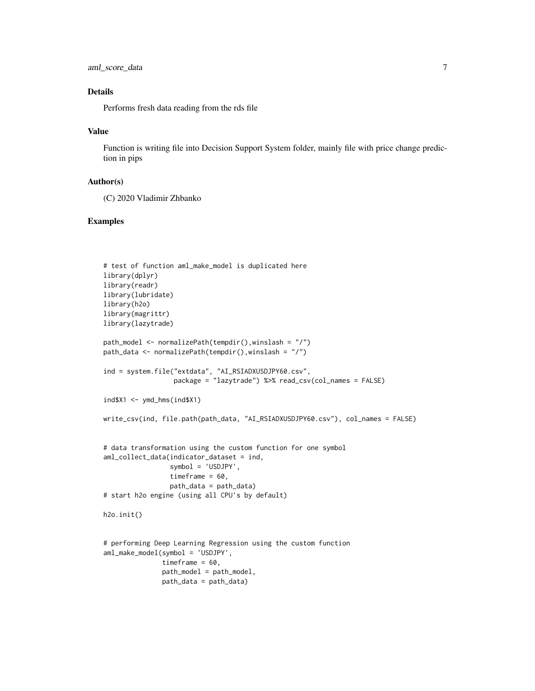```
aml_score_data 7
```
## Details

Performs fresh data reading from the rds file

#### Value

Function is writing file into Decision Support System folder, mainly file with price change prediction in pips

### Author(s)

(C) 2020 Vladimir Zhbanko

```
# test of function aml_make_model is duplicated here
library(dplyr)
library(readr)
library(lubridate)
library(h2o)
library(magrittr)
library(lazytrade)
path_model <- normalizePath(tempdir(),winslash = "/")
path_data <- normalizePath(tempdir(),winslash = "/")
ind = system.file("extdata", "AI_RSIADXUSDJPY60.csv",
                  package = "lazytrade") %>% read_csv(col_names = FALSE)
ind$X1 <- ymd_hms(ind$X1)
write_csv(ind, file.path(path_data, "AI_RSIADXUSDJPY60.csv"), col_names = FALSE)
# data transformation using the custom function for one symbol
aml_collect_data(indicator_dataset = ind,
                 symbol = 'USDJPY',
                 timeframe = 60,
                 path_data = path_data)
# start h2o engine (using all CPU's by default)
h2o.init()
# performing Deep Learning Regression using the custom function
aml_make_model(symbol = 'USDJPY',
               timeframe = 60.
               path_model = path_model,
               path_data = path_data)
```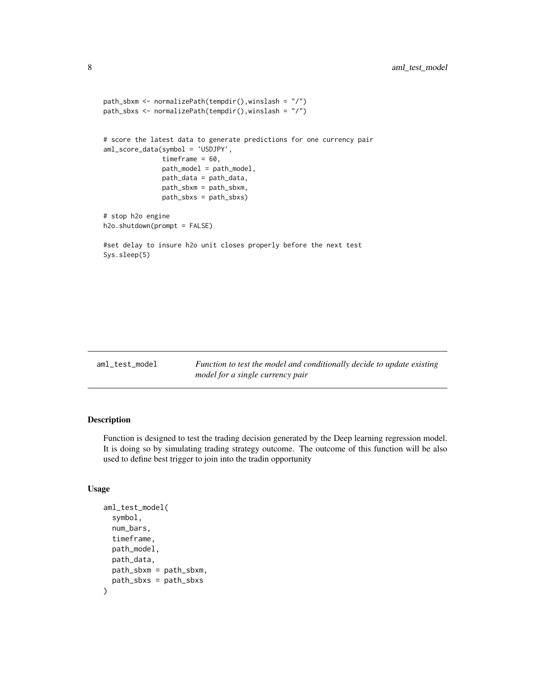```
path_sbxm <- normalizePath(tempdir(),winslash = "/")
path_sbxs <- normalizePath(tempdir(),winslash = "/")
# score the latest data to generate predictions for one currency pair
aml_score_data(symbol = 'USDJPY',
              timeframe = 60,
              path_model = path_model,
              path_data = path_data,
              path_sbxm = path_sbxm,
              path_sbxs = path_sbxs)
# stop h2o engine
h2o.shutdown(prompt = FALSE)
#set delay to insure h2o unit closes properly before the next test
Sys.sleep(5)
```

| aml test model | Function to test the model and conditionally decide to update existing |
|----------------|------------------------------------------------------------------------|
|                | model for a single currency pair                                       |

Function is designed to test the trading decision generated by the Deep learning regression model. It is doing so by simulating trading strategy outcome. The outcome of this function will be also used to define best trigger to join into the tradin opportunity

#### Usage

```
aml_test_model(
  symbol,
  num_bars,
  timeframe,
  path_model,
  path_data,
 path_sbxm = path_sbxm,
  path_sbxs = path_sbxs
)
```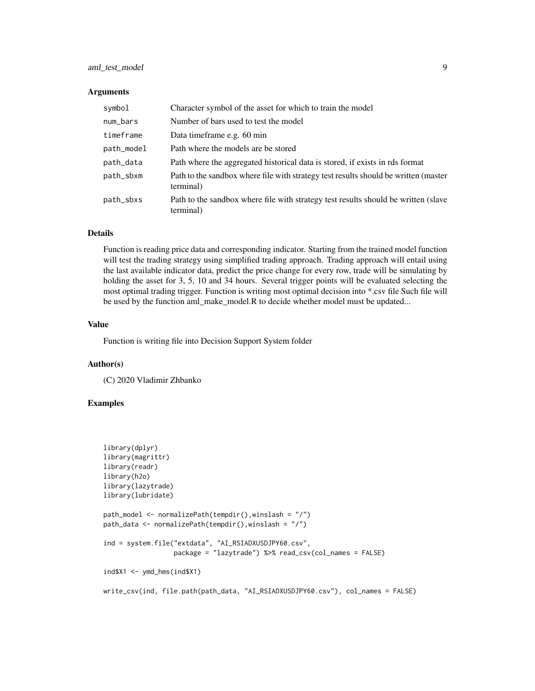## aml\_test\_model 9

#### Arguments

| symbol     | Character symbol of the asset for which to train the model                                       |
|------------|--------------------------------------------------------------------------------------------------|
| num_bars   | Number of bars used to test the model                                                            |
| timeframe  | Data time frame e.g. 60 min                                                                      |
| path_model | Path where the models are be stored                                                              |
| path_data  | Path where the aggregated historical data is stored, if exists in rds format                     |
| path_sbxm  | Path to the sandbox where file with strategy test results should be written (master<br>terminal) |
| path_sbxs  | Path to the sandbox where file with strategy test results should be written (slave<br>terminal)  |

## Details

Function is reading price data and corresponding indicator. Starting from the trained model function will test the trading strategy using simplified trading approach. Trading approach will entail using the last available indicator data, predict the price change for every row, trade will be simulating by holding the asset for 3, 5, 10 and 34 hours. Several trigger points will be evaluated selecting the most optimal trading trigger. Function is writing most optimal decision into \*.csv file Such file will be used by the function aml\_make\_model.R to decide whether model must be updated...

#### Value

Function is writing file into Decision Support System folder

#### Author(s)

(C) 2020 Vladimir Zhbanko

```
library(dplyr)
library(magrittr)
library(readr)
library(h2o)
library(lazytrade)
library(lubridate)
path_model <- normalizePath(tempdir(),winslash = "/")
path_data <- normalizePath(tempdir(),winslash = "/")
ind = system.file("extdata", "AI_RSIADXUSDJPY60.csv",
                  package = "lazytrade") %>% read_csv(col_names = FALSE)
ind$X1 <- ymd_hms(ind$X1)
write_csv(ind, file.path(path_data, "AI_RSIADXUSDJPY60.csv"), col_names = FALSE)
```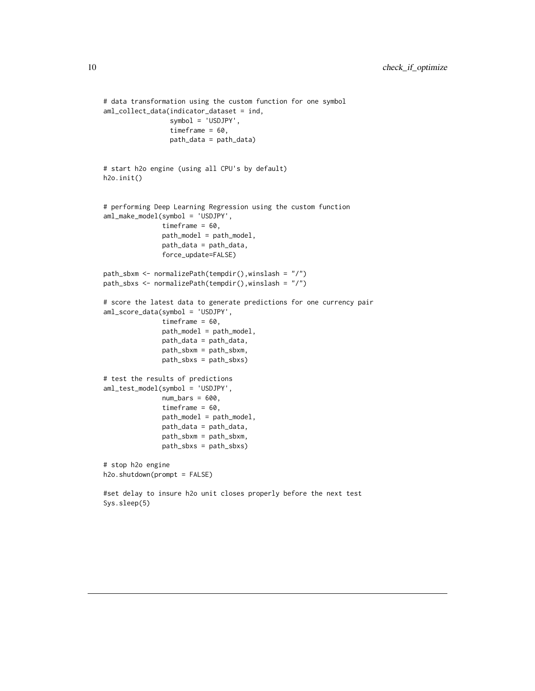```
# data transformation using the custom function for one symbol
aml_collect_data(indicator_dataset = ind,
                 symbol = 'USDJPY',
                 timeframe = 60,
                 path_data = path_data)
# start h2o engine (using all CPU's by default)
h2o.init()
# performing Deep Learning Regression using the custom function
aml_make_model(symbol = 'USDJPY',
               timeframe = 60,
               path_model = path_model,
               path_data = path_data,
               force_update=FALSE)
path_sbxm <- normalizePath(tempdir(),winslash = "/")
path_sbxs <- normalizePath(tempdir(),winslash = "/")
# score the latest data to generate predictions for one currency pair
aml_score_data(symbol = 'USDJPY',
              timeframe = 60,
               path_model = path_model,
               path_data = path_data,
              path_sbxm = path_sbxm,
              path_sbxs = path_sbxs)
# test the results of predictions
aml_test_model(symbol = 'USDJPY',
              num\_bars = 600,timeframe = 60,
              path_model = path_model,
               path_data = path_data,
              path_sbxm = path_sbxm,
              path_sbxs = path_sbxs)
# stop h2o engine
h2o.shutdown(prompt = FALSE)
#set delay to insure h2o unit closes properly before the next test
Sys.sleep(5)
```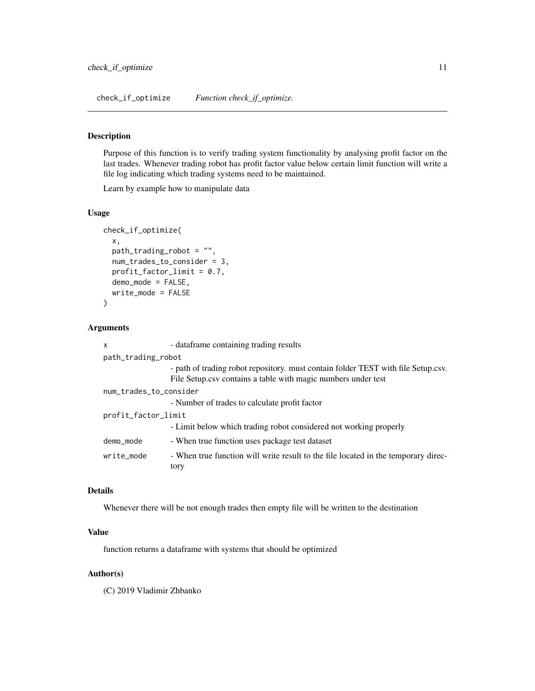check\_if\_optimize *Function check\_if\_optimize.*

## Description

Purpose of this function is to verify trading system functionality by analysing profit factor on the last trades. Whenever trading robot has profit factor value below certain limit function will write a file log indicating which trading systems need to be maintained.

Learn by example how to manipulate data

#### Usage

```
check_if_optimize(
  x,
 path_trading_robot = "",
  num_trades_to_consider = 3,
  profit_factor_limit = 0.7,
  demo_mode = FALSE,
  write_mode = FALSE
\mathcal{L}
```
## Arguments

| X                      | - dataframe containing trading results                                                                                                             |  |
|------------------------|----------------------------------------------------------------------------------------------------------------------------------------------------|--|
| path_trading_robot     |                                                                                                                                                    |  |
|                        | - path of trading robot repository, must contain folder TEST with file Setup.csv.<br>File Setup.csv contains a table with magic numbers under test |  |
| num_trades_to_consider |                                                                                                                                                    |  |
|                        | - Number of trades to calculate profit factor                                                                                                      |  |
| profit_factor_limit    |                                                                                                                                                    |  |
|                        | - Limit below which trading robot considered not working properly                                                                                  |  |
| demo_mode              | - When true function uses package test dataset                                                                                                     |  |
| write mode             | - When true function will write result to the file located in the temporary direc-<br>tory                                                         |  |

### Details

Whenever there will be not enough trades then empty file will be written to the destination

## Value

function returns a dataframe with systems that should be optimized

#### Author(s)

(C) 2019 Vladimir Zhbanko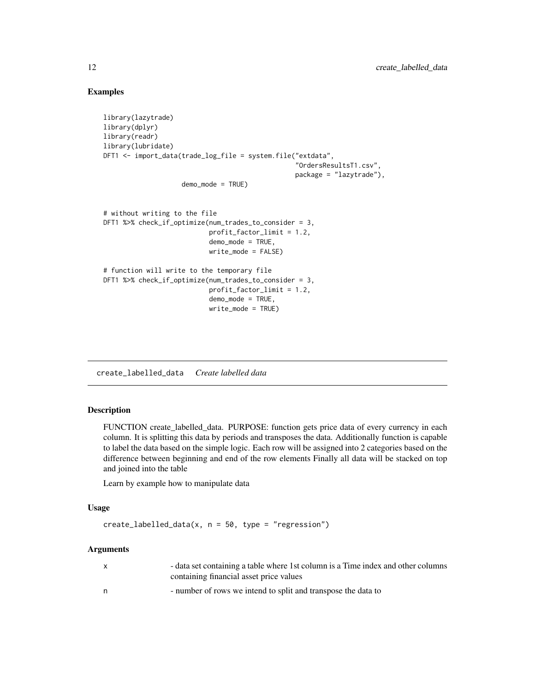## Examples

```
library(lazytrade)
library(dplyr)
library(readr)
library(lubridate)
DFT1 <- import_data(trade_log_file = system.file("extdata",
                                                  "OrdersResultsT1.csv",
                                                 package = "lazytrade"),
                    demo_mode = TRUE)
# without writing to the file
DFT1 %>% check_if_optimize(num_trades_to_consider = 3,
                           profit_factor_limit = 1.2,
                           demo_mode = TRUE,
                           write_mode = FALSE)
# function will write to the temporary file
DFT1 %>% check_if_optimize(num_trades_to_consider = 3,
                           profit_factor_limit = 1.2,
                           demo_mode = TRUE,
                           write_mode = TRUE)
```
create\_labelled\_data *Create labelled data*

#### Description

FUNCTION create\_labelled\_data. PURPOSE: function gets price data of every currency in each column. It is splitting this data by periods and transposes the data. Additionally function is capable to label the data based on the simple logic. Each row will be assigned into 2 categories based on the difference between beginning and end of the row elements Finally all data will be stacked on top and joined into the table

Learn by example how to manipulate data

#### Usage

```
create\_labelled\_data(x, n = 50, type = "regression")
```
#### Arguments

|   | - data set containing a table where 1st column is a Time index and other columns<br>containing financial asset price values |
|---|-----------------------------------------------------------------------------------------------------------------------------|
| n | - number of rows we intend to split and transpose the data to                                                               |

<span id="page-11-0"></span>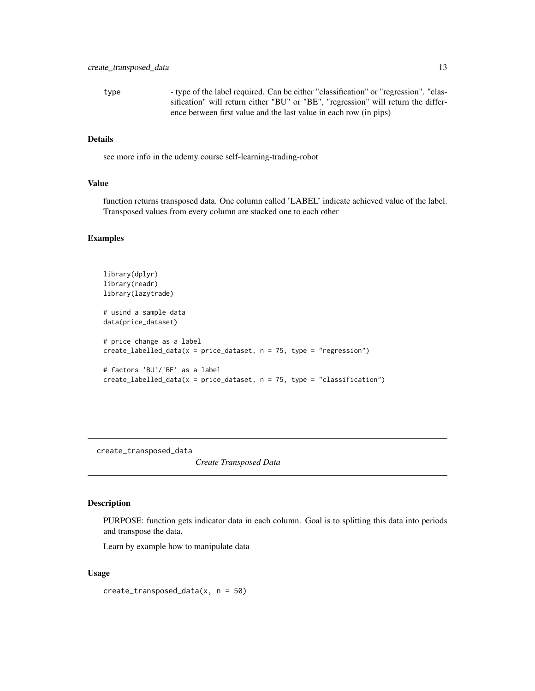<span id="page-12-0"></span>type - type of the label required. Can be either "classification" or "regression". "classification" will return either "BU" or "BE", "regression" will return the difference between first value and the last value in each row (in pips)

## Details

see more info in the udemy course self-learning-trading-robot

#### Value

function returns transposed data. One column called 'LABEL' indicate achieved value of the label. Transposed values from every column are stacked one to each other

#### Examples

```
library(dplyr)
library(readr)
library(lazytrade)
# usind a sample data
data(price_dataset)
# price change as a label
create\_labelled\_data(x = price\_dataset, n = 75, type = "regression")# factors 'BU'/'BE' as a label
create\_labelled\_data(x = price\_dataset, n = 75, type = "classification")
```
create\_transposed\_data

*Create Transposed Data*

## Description

PURPOSE: function gets indicator data in each column. Goal is to splitting this data into periods and transpose the data.

Learn by example how to manipulate data

#### Usage

create\_transposed\_data(x, n = 50)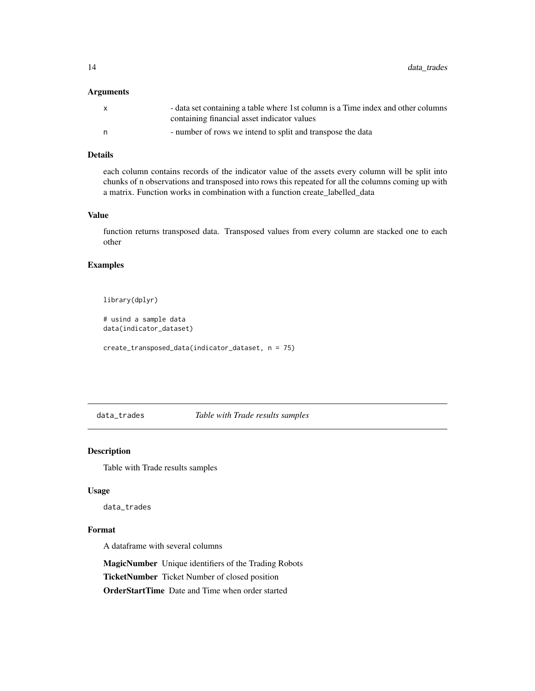<span id="page-13-0"></span>14 data\_trades

## Arguments

| - data set containing a table where 1st column is a Time index and other columns |
|----------------------------------------------------------------------------------|
| containing financial asset indicator values                                      |
| - number of rows we intend to split and transpose the data                       |

## Details

each column contains records of the indicator value of the assets every column will be split into chunks of n observations and transposed into rows this repeated for all the columns coming up with a matrix. Function works in combination with a function create\_labelled\_data

### Value

function returns transposed data. Transposed values from every column are stacked one to each other

## Examples

```
library(dplyr)
```
# usind a sample data data(indicator\_dataset)

create\_transposed\_data(indicator\_dataset, n = 75)

data\_trades *Table with Trade results samples*

## Description

Table with Trade results samples

#### Usage

data\_trades

#### Format

A dataframe with several columns

MagicNumber Unique identifiers of the Trading Robots TicketNumber Ticket Number of closed position OrderStartTime Date and Time when order started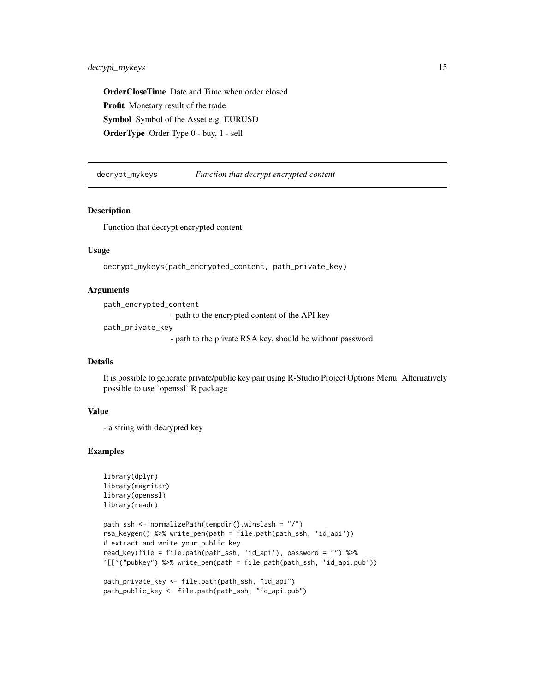<span id="page-14-0"></span>OrderCloseTime Date and Time when order closed Profit Monetary result of the trade Symbol Symbol of the Asset e.g. EURUSD OrderType Order Type 0 - buy, 1 - sell

decrypt\_mykeys *Function that decrypt encrypted content*

## **Description**

Function that decrypt encrypted content

#### Usage

```
decrypt_mykeys(path_encrypted_content, path_private_key)
```
#### Arguments

```
path_encrypted_content
                 - path to the encrypted content of the API key
path_private_key
                  - path to the private RSA key, should be without password
```
#### Details

It is possible to generate private/public key pair using R-Studio Project Options Menu. Alternatively possible to use 'openssl' R package

## Value

```
- a string with decrypted key
```

```
library(dplyr)
library(magrittr)
library(openssl)
library(readr)
```

```
path_ssh <- normalizePath(tempdir(),winslash = "/")
rsa_keygen() %>% write_pem(path = file.path(path_ssh, 'id_api'))
# extract and write your public key
read_key(file = file.path(path_ssh, 'id_api'), password = "") %>%
`[[`("pubkey") %>% write_pem(path = file.path(path_ssh, 'id_api.pub'))
```

```
path_private_key <- file.path(path_ssh, "id_api")
path_public_key <- file.path(path_ssh, "id_api.pub")
```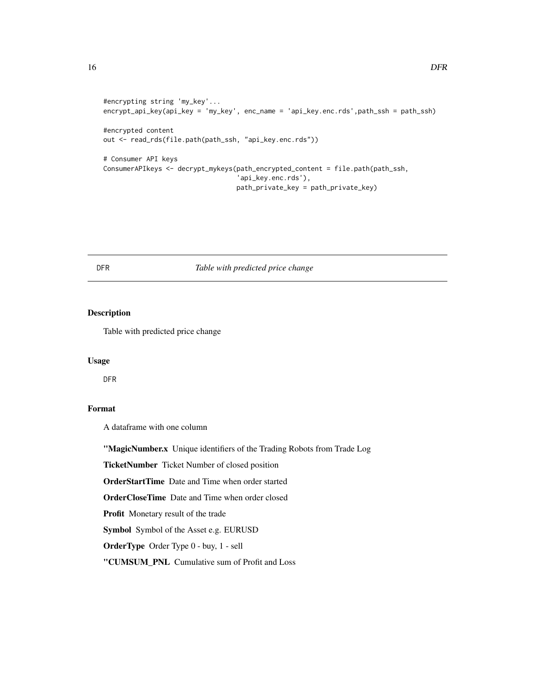```
#encrypting string 'my_key'...
encrypt_api_key(api_key = 'my_key', enc_name = 'api_key.enc.rds',path_ssh = path_ssh)
#encrypted content
out <- read_rds(file.path(path_ssh, "api_key.enc.rds"))
# Consumer API keys
ConsumerAPIkeys <- decrypt_mykeys(path_encrypted_content = file.path(path_ssh,
                                  'api_key.enc.rds'),
                                  path_private_key = path_private_key)
```
## DFR *Table with predicted price change*

## Description

Table with predicted price change

#### Usage

DFR

## Format

A dataframe with one column

"MagicNumber.x Unique identifiers of the Trading Robots from Trade Log

TicketNumber Ticket Number of closed position

OrderStartTime Date and Time when order started

OrderCloseTime Date and Time when order closed

Profit Monetary result of the trade

Symbol Symbol of the Asset e.g. EURUSD

OrderType Order Type 0 - buy, 1 - sell

"CUMSUM\_PNL Cumulative sum of Profit and Loss

<span id="page-15-0"></span>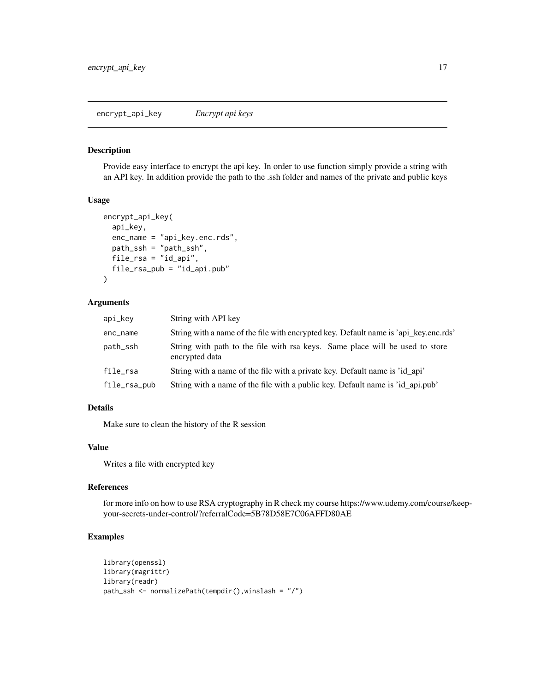<span id="page-16-0"></span>Provide easy interface to encrypt the api key. In order to use function simply provide a string with an API key. In addition provide the path to the .ssh folder and names of the private and public keys

#### Usage

```
encrypt_api_key(
  api_key,
  enc_name = "api_key.enc.rds",
 path_ssh = "path_ssh",
  file_rsa = "id_api",
  file_rsa_pub = "id_api.pub"
)
```
## Arguments

| api_key      | String with API key                                                                            |
|--------------|------------------------------------------------------------------------------------------------|
| enc_name     | String with a name of the file with encrypted key. Default name is 'api_key.enc.rds'           |
| path_ssh     | String with path to the file with rsa keys. Same place will be used to store<br>encrypted data |
| file_rsa     | String with a name of the file with a private key. Default name is 'id api'                    |
| file_rsa_pub | String with a name of the file with a public key. Default name is 'id_api.pub'                 |

## Details

Make sure to clean the history of the R session

### Value

Writes a file with encrypted key

## References

for more info on how to use RSA cryptography in R check my course https://www.udemy.com/course/keepyour-secrets-under-control/?referralCode=5B78D58E7C06AFFD80AE

```
library(openssl)
library(magrittr)
library(readr)
path_ssh <- normalizePath(tempdir(),winslash = "/")
```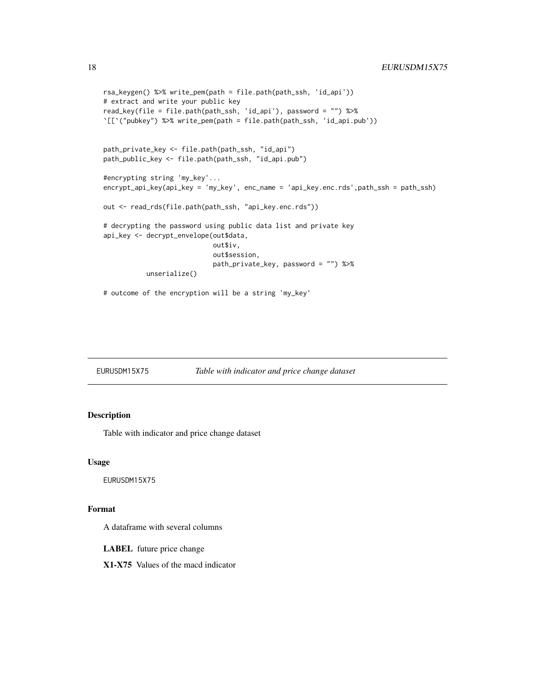```
rsa_keygen() %>% write_pem(path = file.path(path_ssh, 'id_api'))
# extract and write your public key
read_key(file = file.path(path_ssh, 'id_api'), password = "") %>%
`[[`("pubkey") %>% write_pem(path = file.path(path_ssh, 'id_api.pub'))
path_private_key <- file.path(path_ssh, "id_api")
path_public_key <- file.path(path_ssh, "id_api.pub")
#encrypting string 'my_key'...
encrypt_api_key(api_key = 'my_key', enc_name = 'api_key.enc.rds',path_ssh = path_ssh)
out <- read_rds(file.path(path_ssh, "api_key.enc.rds"))
# decrypting the password using public data list and private key
api_key <- decrypt_envelope(out$data,
                            out$iv,
                            out$session,
                            path_private_key, password = "") %>%
           unserialize()
# outcome of the encryption will be a string 'my_key'
```

| EURUSDM15X75 | Table with indicator and price change dataset |  |
|--------------|-----------------------------------------------|--|
|              |                                               |  |

Table with indicator and price change dataset

#### Usage

EURUSDM15X75

#### Format

A dataframe with several columns

LABEL future price change

X1-X75 Values of the macd indicator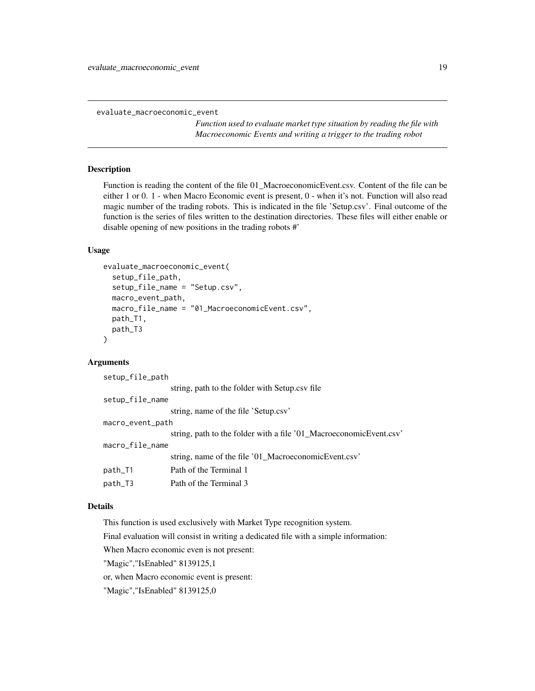<span id="page-18-0"></span>evaluate\_macroeconomic\_event

*Function used to evaluate market type situation by reading the file with Macroeconomic Events and writing a trigger to the trading robot*

#### Description

Function is reading the content of the file 01\_MacroeconomicEvent.csv. Content of the file can be either 1 or 0. 1 - when Macro Economic event is present, 0 - when it's not. Function will also read magic number of the trading robots. This is indicated in the file 'Setup.csv'. Final outcome of the function is the series of files written to the destination directories. These files will either enable or disable opening of new positions in the trading robots #'

#### Usage

```
evaluate_macroeconomic_event(
  setup_file_path,
  setup_file_name = "Setup.csv",
 macro_event_path,
 macro_file_name = "01_MacroeconomicEvent.csv",
 path_T1,
 path_T3
)
```
## Arguments

setup\_file\_path

|                  | string, path to the folder with Setup.csv file                     |  |
|------------------|--------------------------------------------------------------------|--|
| setup_file_name  |                                                                    |  |
|                  | string, name of the file 'Setup.csv'                               |  |
| macro_event_path |                                                                    |  |
|                  | string, path to the folder with a file '01_MacroeconomicEvent.csv' |  |
| macro_file_name  |                                                                    |  |
|                  | string, name of the file '01_MacroeconomicEvent.csv'               |  |
| path_T1          | Path of the Terminal 1                                             |  |
| path_T3          | Path of the Terminal 3                                             |  |
|                  |                                                                    |  |

#### Details

This function is used exclusively with Market Type recognition system.

Final evaluation will consist in writing a dedicated file with a simple information:

When Macro economic even is not present:

"Magic","IsEnabled" 8139125,1

or, when Macro economic event is present:

"Magic","IsEnabled" 8139125,0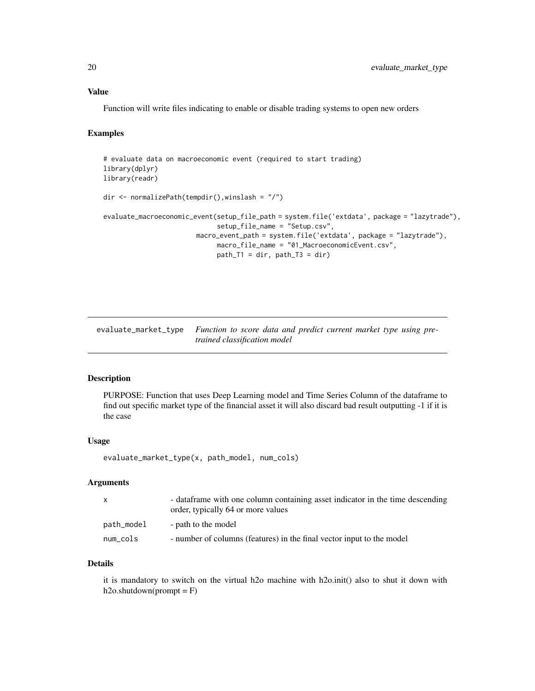#### <span id="page-19-0"></span>Value

Function will write files indicating to enable or disable trading systems to open new orders

#### Examples

```
# evaluate data on macroeconomic event (required to start trading)
library(dplyr)
library(readr)
dir <- normalizePath(tempdir(),winslash = "/")
evaluate_macroeconomic_event(setup_file_path = system.file('extdata', package = "lazytrade"),
                             setup_file_name = "Setup.csv",
                        macro_event_path = system.file('extdata', package = "lazytrade"),
                             macro_file_name = "01_MacroeconomicEvent.csv",
                             path_T1 = dir, path_T3 = dir)
```
evaluate\_market\_type *Function to score data and predict current market type using pretrained classification model*

## Description

PURPOSE: Function that uses Deep Learning model and Time Series Column of the dataframe to find out specific market type of the financial asset it will also discard bad result outputting -1 if it is the case

#### Usage

evaluate\_market\_type(x, path\_model, num\_cols)

#### Arguments

| $\mathsf{x}$ | - data frame with one column containing asset indicator in the time descending<br>order, typically 64 or more values |
|--------------|----------------------------------------------------------------------------------------------------------------------|
| path_model   | - path to the model                                                                                                  |
| num_cols     | - number of columns (features) in the final vector input to the model                                                |

## Details

it is mandatory to switch on the virtual h2o machine with h2o.init() also to shut it down with  $h2o.shutdown(prompt = F)$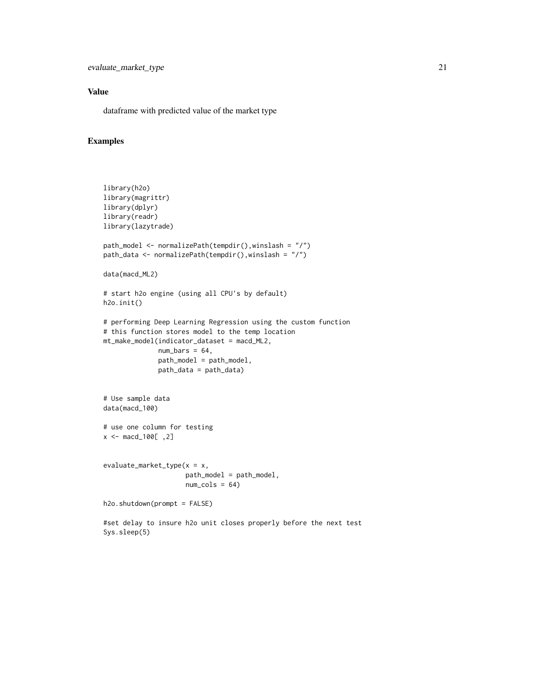## Value

dataframe with predicted value of the market type

```
library(h2o)
library(magrittr)
library(dplyr)
library(readr)
library(lazytrade)
path_model <- normalizePath(tempdir(),winslash = "/")
path_data <- normalizePath(tempdir(),winslash = "/")
data(macd_ML2)
# start h2o engine (using all CPU's by default)
h2o.init()
# performing Deep Learning Regression using the custom function
# this function stores model to the temp location
mt_make_model(indicator_dataset = macd_ML2,
             num\_bars = 64,
              path_model = path_model,
              path_data = path_data)
# Use sample data
data(macd_100)
# use one column for testing
x <- macd_100[ ,2]
evaluate_market_type(x = x,
                     path_model = path_model,
                     num\_cols = 64)h2o.shutdown(prompt = FALSE)
#set delay to insure h2o unit closes properly before the next test
Sys.sleep(5)
```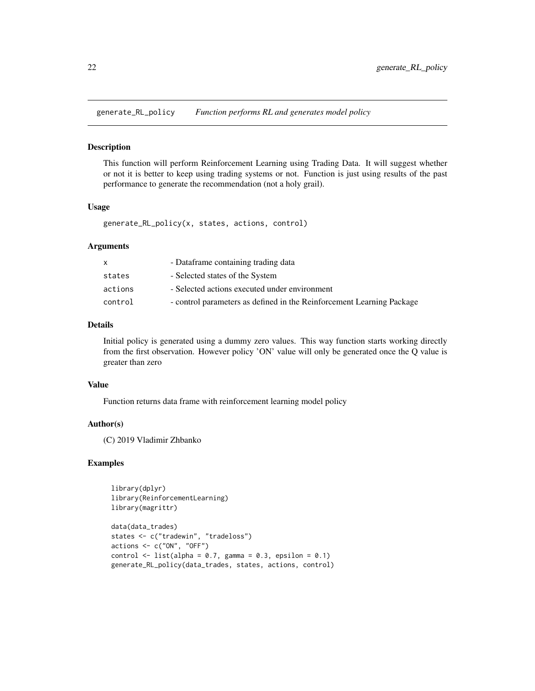<span id="page-21-0"></span>generate\_RL\_policy *Function performs RL and generates model policy*

#### Description

This function will perform Reinforcement Learning using Trading Data. It will suggest whether or not it is better to keep using trading systems or not. Function is just using results of the past performance to generate the recommendation (not a holy grail).

#### Usage

```
generate_RL_policy(x, states, actions, control)
```
#### Arguments

|         | - Dataframe containing trading data                                   |
|---------|-----------------------------------------------------------------------|
| states  | - Selected states of the System                                       |
| actions | - Selected actions executed under environment                         |
| control | - control parameters as defined in the Reinforcement Learning Package |

#### Details

Initial policy is generated using a dummy zero values. This way function starts working directly from the first observation. However policy 'ON' value will only be generated once the Q value is greater than zero

## Value

Function returns data frame with reinforcement learning model policy

#### Author(s)

(C) 2019 Vladimir Zhbanko

```
library(dplyr)
library(ReinforcementLearning)
library(magrittr)
```

```
data(data_trades)
states <- c("tradewin", "tradeloss")
actions \leftarrow c("ON", "OFF")control \le list(alpha = 0.7, gamma = 0.3, epsilon = 0.1)
generate_RL_policy(data_trades, states, actions, control)
```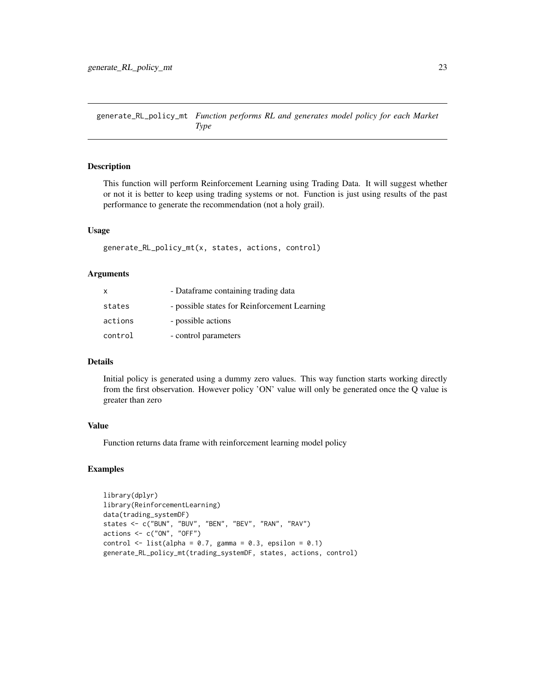<span id="page-22-0"></span>generate\_RL\_policy\_mt *Function performs RL and generates model policy for each Market Type*

#### Description

This function will perform Reinforcement Learning using Trading Data. It will suggest whether or not it is better to keep using trading systems or not. Function is just using results of the past performance to generate the recommendation (not a holy grail).

### Usage

generate\_RL\_policy\_mt(x, states, actions, control)

#### Arguments

| x       | - Dataframe containing trading data          |
|---------|----------------------------------------------|
| states  | - possible states for Reinforcement Learning |
| actions | - possible actions                           |
| control | - control parameters                         |

#### Details

Initial policy is generated using a dummy zero values. This way function starts working directly from the first observation. However policy 'ON' value will only be generated once the Q value is greater than zero

#### Value

Function returns data frame with reinforcement learning model policy

```
library(dplyr)
library(ReinforcementLearning)
data(trading_systemDF)
states <- c("BUN", "BUV", "BEN", "BEV", "RAN", "RAV")
actions <- c("ON", "OFF")
control \le list(alpha = 0.7, gamma = 0.3, epsilon = 0.1)
generate_RL_policy_mt(trading_systemDF, states, actions, control)
```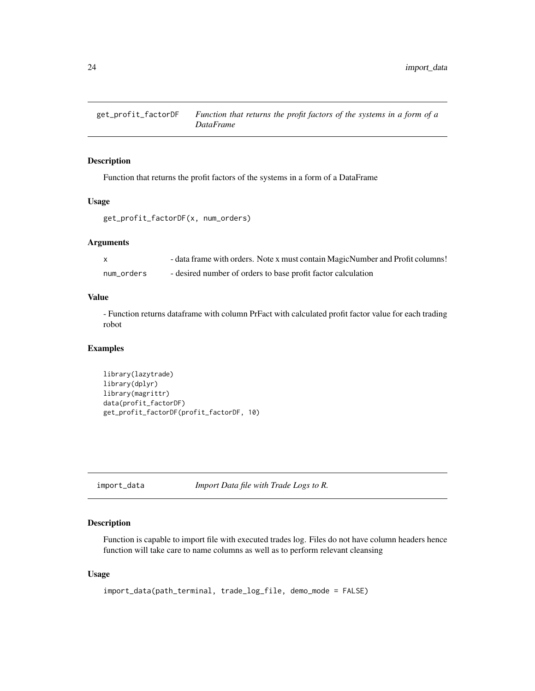<span id="page-23-0"></span>

Function that returns the profit factors of the systems in a form of a DataFrame

## Usage

```
get_profit_factorDF(x, num_orders)
```
## Arguments

| $\mathsf{x}$ | - data frame with orders. Note x must contain MagicNumber and Profit columns! |
|--------------|-------------------------------------------------------------------------------|
| num orders   | - desired number of orders to base profit factor calculation                  |

## Value

- Function returns dataframe with column PrFact with calculated profit factor value for each trading robot

#### Examples

```
library(lazytrade)
library(dplyr)
library(magrittr)
data(profit_factorDF)
get_profit_factorDF(profit_factorDF, 10)
```
import\_data *Import Data file with Trade Logs to R.*

## Description

Function is capable to import file with executed trades log. Files do not have column headers hence function will take care to name columns as well as to perform relevant cleansing

#### Usage

```
import_data(path_terminal, trade_log_file, demo_mode = FALSE)
```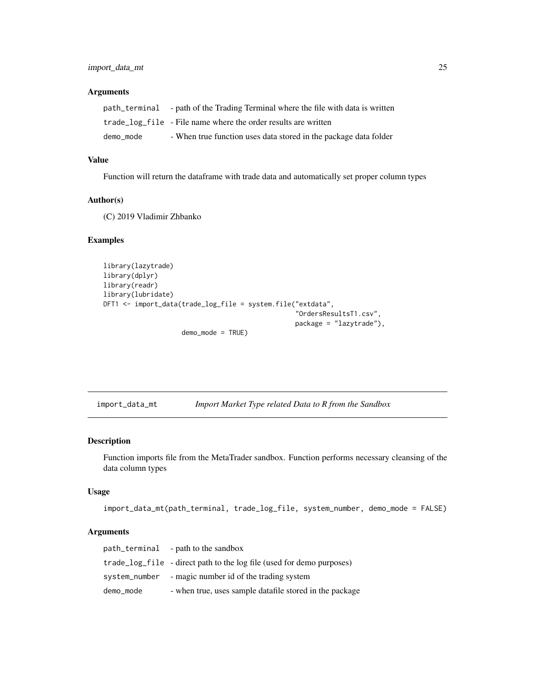#### <span id="page-24-0"></span>Arguments

|           | path_terminal - path of the Trading Terminal where the file with data is written |
|-----------|----------------------------------------------------------------------------------|
|           | trade_log_file - File name where the order results are written                   |
| demo mode | - When true function uses data stored in the package data folder                 |

## Value

Function will return the dataframe with trade data and automatically set proper column types

#### Author(s)

(C) 2019 Vladimir Zhbanko

## Examples

```
library(lazytrade)
library(dplyr)
library(readr)
library(lubridate)
DFT1 <- import_data(trade_log_file = system.file("extdata",
                                                  "OrdersResultsT1.csv",
                                                  package = "lazytrade"),
                    demo_mode = TRUE)
```
import\_data\_mt *Import Market Type related Data to R from the Sandbox*

## Description

Function imports file from the MetaTrader sandbox. Function performs necessary cleansing of the data column types

#### Usage

```
import_data_mt(path_terminal, trade_log_file, system_number, demo_mode = FALSE)
```
#### Arguments

|           | path_terminal - path to the sandbox                                   |
|-----------|-----------------------------------------------------------------------|
|           | trade_log_file - direct path to the log file (used for demo purposes) |
|           | system_number - magic number id of the trading system                 |
| demo_mode | - when true, uses sample datafile stored in the package               |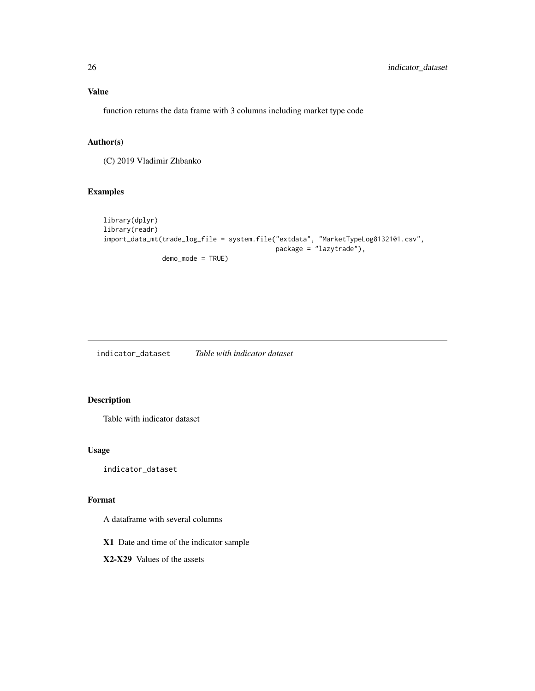## <span id="page-25-0"></span>Value

function returns the data frame with 3 columns including market type code

## Author(s)

(C) 2019 Vladimir Zhbanko

## Examples

```
library(dplyr)
library(readr)
import_data_mt(trade_log_file = system.file("extdata", "MarketTypeLog8132101.csv",
                                            package = "lazytrade"),
               demo_mode = TRUE)
```
indicator\_dataset *Table with indicator dataset*

## Description

Table with indicator dataset

## Usage

indicator\_dataset

## Format

A dataframe with several columns

X1 Date and time of the indicator sample

X2-X29 Values of the assets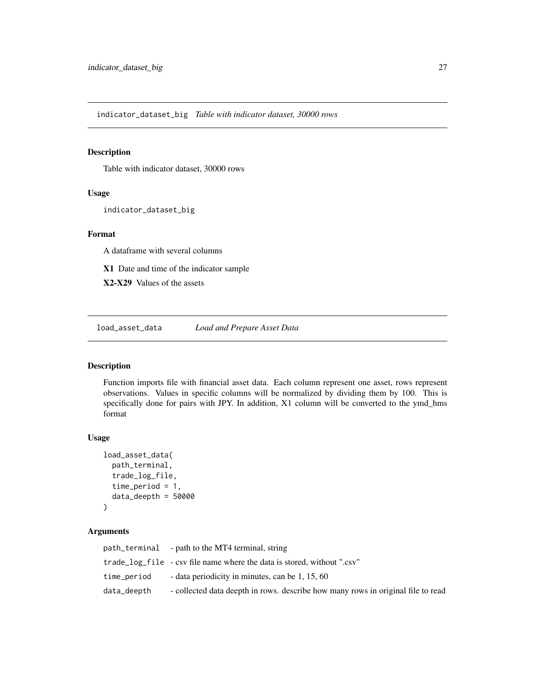<span id="page-26-0"></span>indicator\_dataset\_big *Table with indicator dataset, 30000 rows*

#### Description

Table with indicator dataset, 30000 rows

## Usage

indicator\_dataset\_big

#### Format

A dataframe with several columns

X1 Date and time of the indicator sample

X2-X29 Values of the assets

load\_asset\_data *Load and Prepare Asset Data*

## Description

Function imports file with financial asset data. Each column represent one asset, rows represent observations. Values in specific columns will be normalized by dividing them by 100. This is specifically done for pairs with JPY. In addition, X1 column will be converted to the ymd\_hms format

#### Usage

```
load_asset_data(
 path_terminal,
  trade_log_file,
  time_period = 1,
  data_deepth = 50000
)
```
#### Arguments

|             | path_terminal - path to the MT4 terminal, string                                 |
|-------------|----------------------------------------------------------------------------------|
|             | trade_log_file - csv file name where the data is stored, without ".csv"          |
| time_period | - data periodicity in minutes, can be 1, 15, 60                                  |
| data_deepth | - collected data deepth in rows. describe how many rows in original file to read |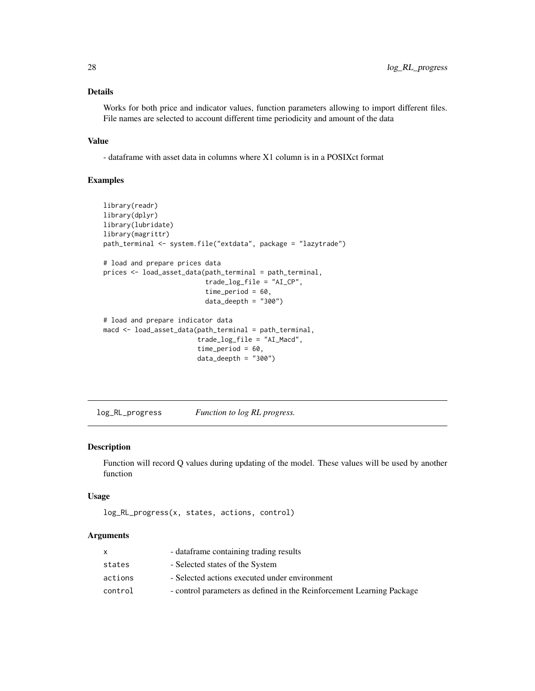## <span id="page-27-0"></span>Details

Works for both price and indicator values, function parameters allowing to import different files. File names are selected to account different time periodicity and amount of the data

#### Value

- dataframe with asset data in columns where X1 column is in a POSIXct format

## Examples

```
library(readr)
library(dplyr)
library(lubridate)
library(magrittr)
path_terminal <- system.file("extdata", package = "lazytrade")
# load and prepare prices data
prices <- load_asset_data(path_terminal = path_terminal,
                          trade_log_file = "AI_CP",
                          time_period = 60,
                          data_deepth = "300")
# load and prepare indicator data
macd <- load_asset_data(path_terminal = path_terminal,
                        trade_log_file = "AI_Macd",
                        time_period = 60,
                        data_deepth = "300")
```
log\_RL\_progress *Function to log RL progress.*

## Description

Function will record Q values during updating of the model. These values will be used by another function

#### Usage

```
log_RL_progress(x, states, actions, control)
```
#### Arguments

|         | - dataframe containing trading results                                |
|---------|-----------------------------------------------------------------------|
| states  | - Selected states of the System                                       |
| actions | - Selected actions executed under environment                         |
| control | - control parameters as defined in the Reinforcement Learning Package |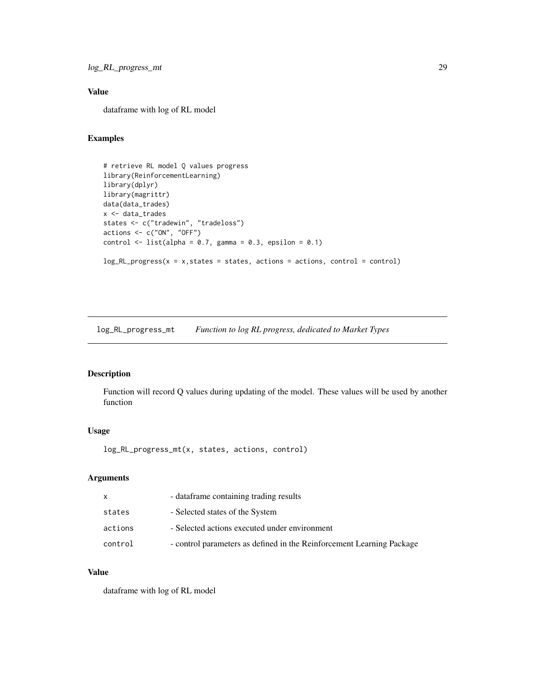## <span id="page-28-0"></span>Value

dataframe with log of RL model

## Examples

```
# retrieve RL model Q values progress
library(ReinforcementLearning)
library(dplyr)
library(magrittr)
data(data_trades)
x <- data_trades
states <- c("tradewin", "tradeloss")
actions < -c("ON", "OFF")control \le list(alpha = 0.7, gamma = 0.3, epsilon = 0.1)
log_R L_progress(x = x, states = states, actions = actions, control = control)
```
log\_RL\_progress\_mt *Function to log RL progress, dedicated to Market Types*

## Description

Function will record Q values during updating of the model. These values will be used by another function

## Usage

log\_RL\_progress\_mt(x, states, actions, control)

#### Arguments

| X       | - dataframe containing trading results                                |
|---------|-----------------------------------------------------------------------|
| states  | - Selected states of the System                                       |
| actions | - Selected actions executed under environment                         |
| control | - control parameters as defined in the Reinforcement Learning Package |

## Value

dataframe with log of RL model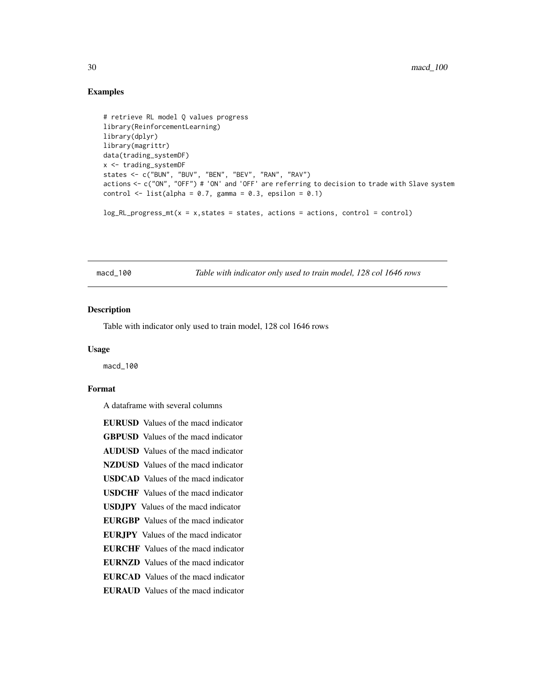## Examples

```
# retrieve RL model Q values progress
library(ReinforcementLearning)
library(dplyr)
library(magrittr)
data(trading_systemDF)
x <- trading_systemDF
states <- c("BUN", "BUV", "BEN", "BEV", "RAN", "RAV")
actions <- c("ON", "OFF") # 'ON' and 'OFF' are referring to decision to trade with Slave system
control \le list(alpha = 0.7, gamma = 0.3, epsilon = 0.1)
```
 $log_R L_p$ rogress\_mt(x = x, states = states, actions = actions, control = control)

macd\_100 *Table with indicator only used to train model, 128 col 1646 rows*

#### Description

Table with indicator only used to train model, 128 col 1646 rows

#### Usage

macd\_100

#### Format

A dataframe with several columns

EURUSD Values of the macd indicator GBPUSD Values of the macd indicator AUDUSD Values of the macd indicator NZDUSD Values of the macd indicator USDCAD Values of the macd indicator USDCHF Values of the macd indicator USDJPY Values of the macd indicator EURGBP Values of the macd indicator EURJPY Values of the macd indicator EURCHF Values of the macd indicator EURNZD Values of the macd indicator EURCAD Values of the macd indicator EURAUD Values of the macd indicator

<span id="page-29-0"></span>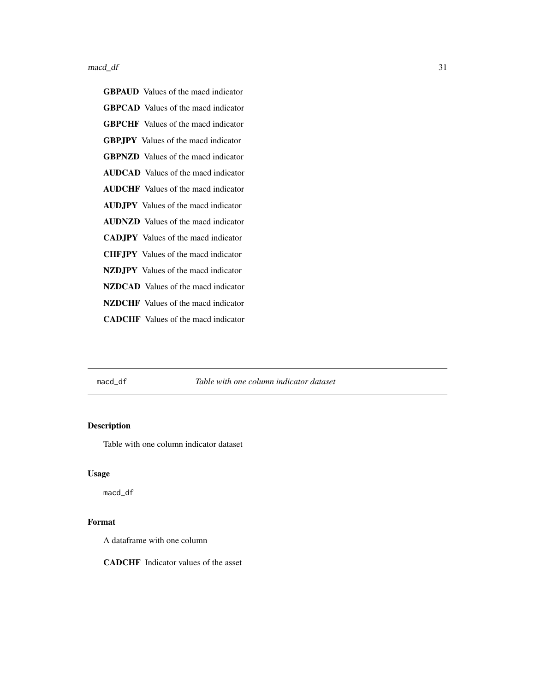#### <span id="page-30-0"></span> $\text{macd\_df}$  31

macd\_df *Table with one column indicator dataset*

## Description

Table with one column indicator dataset

## Usage

macd\_df

## Format

A dataframe with one column

CADCHF Indicator values of the asset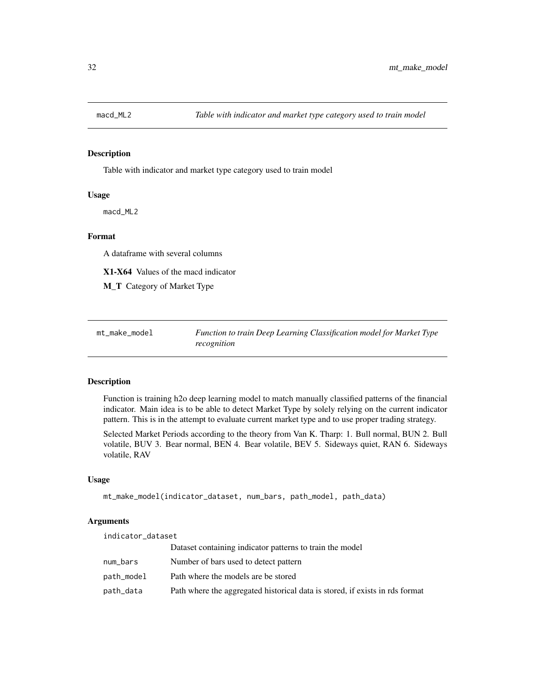<span id="page-31-0"></span>

Table with indicator and market type category used to train model

#### Usage

macd\_ML2

#### Format

A dataframe with several columns

X1-X64 Values of the macd indicator

M\_T Category of Market Type

| mt_make_model | Function to train Deep Learning Classification model for Market Type |
|---------------|----------------------------------------------------------------------|
|               | recognition                                                          |

#### Description

Function is training h2o deep learning model to match manually classified patterns of the financial indicator. Main idea is to be able to detect Market Type by solely relying on the current indicator pattern. This is in the attempt to evaluate current market type and to use proper trading strategy.

Selected Market Periods according to the theory from Van K. Tharp: 1. Bull normal, BUN 2. Bull volatile, BUV 3. Bear normal, BEN 4. Bear volatile, BEV 5. Sideways quiet, RAN 6. Sideways volatile, RAV

## Usage

```
mt_make_model(indicator_dataset, num_bars, path_model, path_data)
```
#### Arguments

| indicator_dataset |                                                                              |
|-------------------|------------------------------------------------------------------------------|
|                   | Dataset containing indicator patterns to train the model                     |
| num_bars          | Number of bars used to detect pattern                                        |
| path_model        | Path where the models are be stored                                          |
| path_data         | Path where the aggregated historical data is stored, if exists in rds format |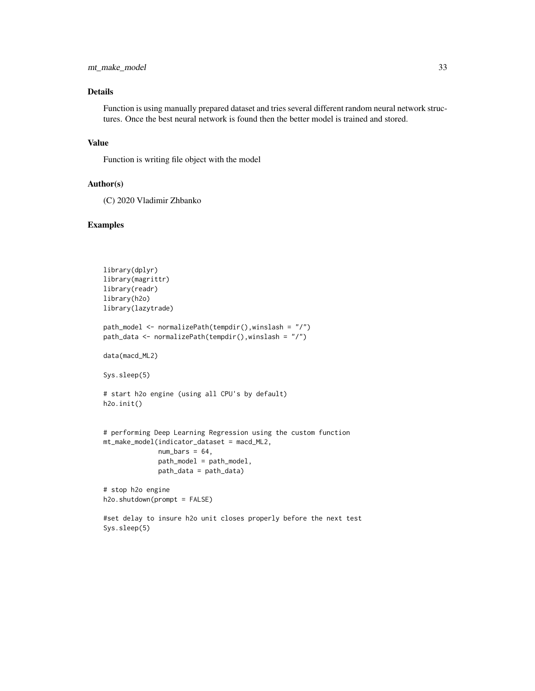## mt\_make\_model 33

## Details

Function is using manually prepared dataset and tries several different random neural network structures. Once the best neural network is found then the better model is trained and stored.

## Value

Function is writing file object with the model

#### Author(s)

(C) 2020 Vladimir Zhbanko

```
library(dplyr)
library(magrittr)
library(readr)
library(h2o)
library(lazytrade)
path_model <- normalizePath(tempdir(),winslash = "/")
path_data <- normalizePath(tempdir(),winslash = "/")
data(macd_ML2)
Sys.sleep(5)
# start h2o engine (using all CPU's by default)
h2o.init()
# performing Deep Learning Regression using the custom function
mt_make_model(indicator_dataset = macd_ML2,
              num\_bars = 64,
              path_model = path_model,
              path_data = path_data)
# stop h2o engine
h2o.shutdown(prompt = FALSE)
#set delay to insure h2o unit closes properly before the next test
Sys.sleep(5)
```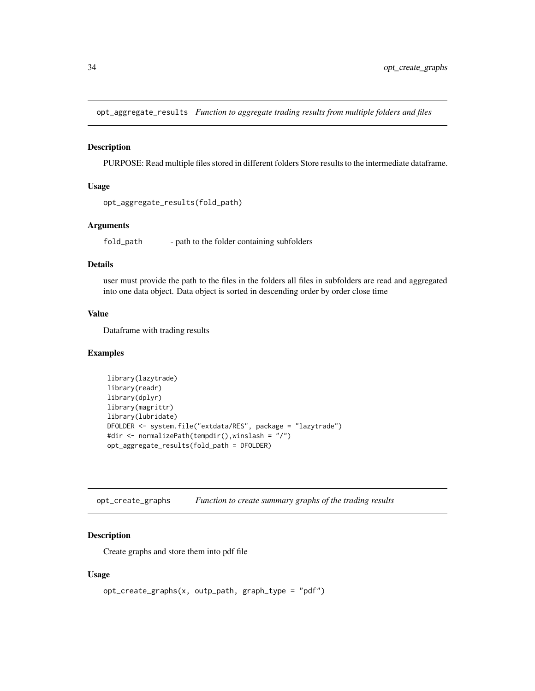<span id="page-33-0"></span>opt\_aggregate\_results *Function to aggregate trading results from multiple folders and files*

#### Description

PURPOSE: Read multiple files stored in different folders Store results to the intermediate dataframe.

#### Usage

```
opt_aggregate_results(fold_path)
```
#### Arguments

fold\_path - path to the folder containing subfolders

## Details

user must provide the path to the files in the folders all files in subfolders are read and aggregated into one data object. Data object is sorted in descending order by order close time

#### Value

Dataframe with trading results

#### Examples

```
library(lazytrade)
library(readr)
library(dplyr)
library(magrittr)
library(lubridate)
DFOLDER <- system.file("extdata/RES", package = "lazytrade")
#dir <- normalizePath(tempdir(),winslash = "/")
opt_aggregate_results(fold_path = DFOLDER)
```
opt\_create\_graphs *Function to create summary graphs of the trading results*

## Description

Create graphs and store them into pdf file

#### Usage

```
opt_create_graphs(x, outp_path, graph_type = "pdf")
```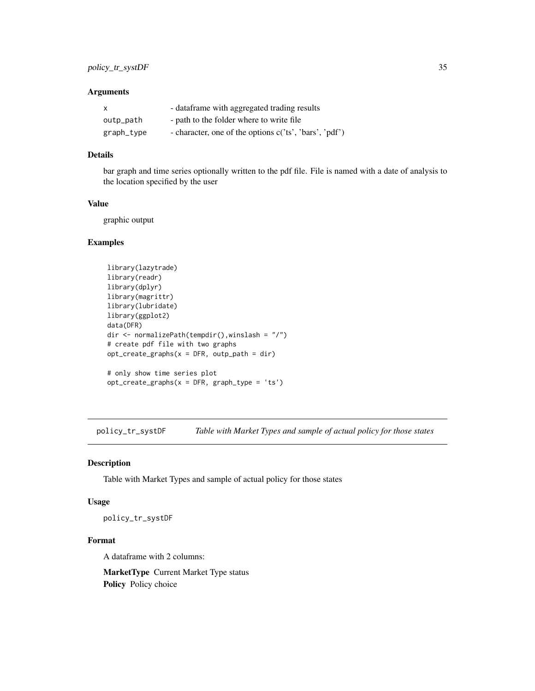## <span id="page-34-0"></span>Arguments

| $\mathsf{x}$ | - dataframe with aggregated trading results            |
|--------------|--------------------------------------------------------|
| outp_path    | - path to the folder where to write file               |
| graph_type   | - character, one of the options c('ts', 'bars', 'pdf') |

## Details

bar graph and time series optionally written to the pdf file. File is named with a date of analysis to the location specified by the user

## Value

graphic output

#### Examples

```
library(lazytrade)
library(readr)
library(dplyr)
library(magrittr)
library(lubridate)
library(ggplot2)
data(DFR)
dir <- normalizePath(tempdir(),winslash = "/")
# create pdf file with two graphs
opt\_create\_graphs(x = DFR, output\_path = dir)# only show time series plot
```
 $opt\_create\_graphs(x = DFR, graph\_type = 'ts')$ 

policy\_tr\_systDF *Table with Market Types and sample of actual policy for those states*

#### Description

Table with Market Types and sample of actual policy for those states

#### Usage

policy\_tr\_systDF

#### Format

A dataframe with 2 columns:

MarketType Current Market Type status Policy Policy choice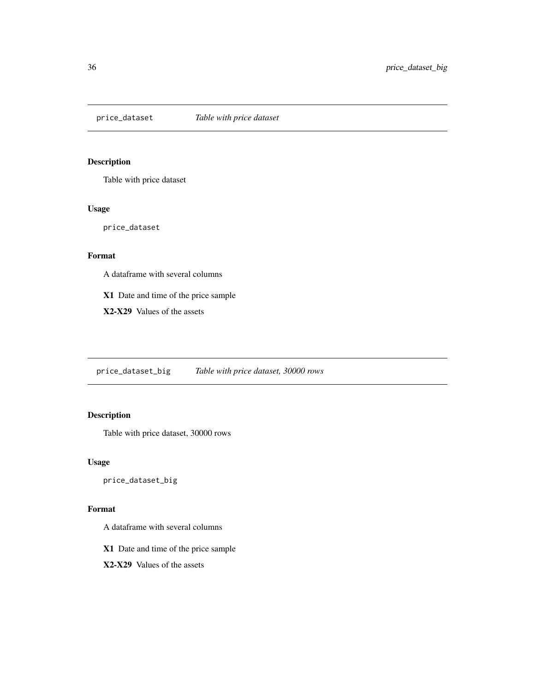<span id="page-35-0"></span>

Table with price dataset

#### Usage

price\_dataset

## Format

A dataframe with several columns

X1 Date and time of the price sample

X2-X29 Values of the assets

price\_dataset\_big *Table with price dataset, 30000 rows*

## Description

Table with price dataset, 30000 rows

#### Usage

price\_dataset\_big

#### Format

A dataframe with several columns

X1 Date and time of the price sample

X2-X29 Values of the assets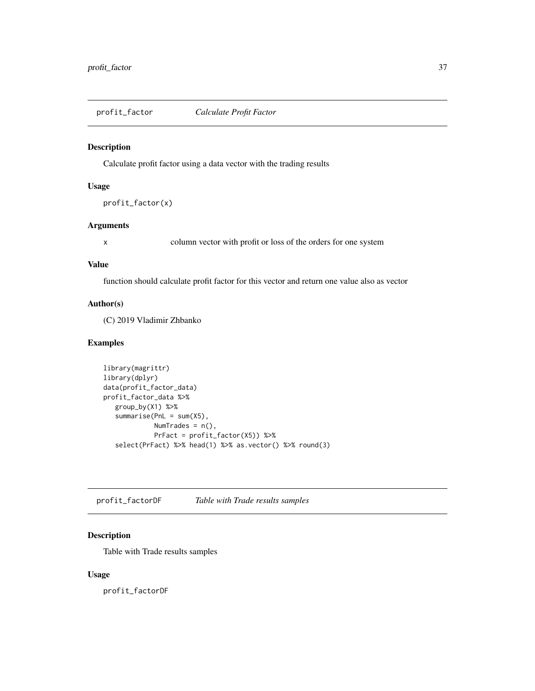<span id="page-36-0"></span>profit\_factor *Calculate Profit Factor*

#### Description

Calculate profit factor using a data vector with the trading results

## Usage

```
profit_factor(x)
```
## Arguments

x column vector with profit or loss of the orders for one system

#### Value

function should calculate profit factor for this vector and return one value also as vector

## Author(s)

(C) 2019 Vladimir Zhbanko

#### Examples

```
library(magrittr)
library(dplyr)
data(profit_factor_data)
profit_factor_data %>%
  group_by(X1) %>%
   summarise(PnL = sum(X5),
             NumTrades = n(),
             PrFact = profit_factor(X5)) %>%
   select(PrFact) %>% head(1) %>% as.vector() %>% round(3)
```
profit\_factorDF *Table with Trade results samples*

## Description

Table with Trade results samples

#### Usage

profit\_factorDF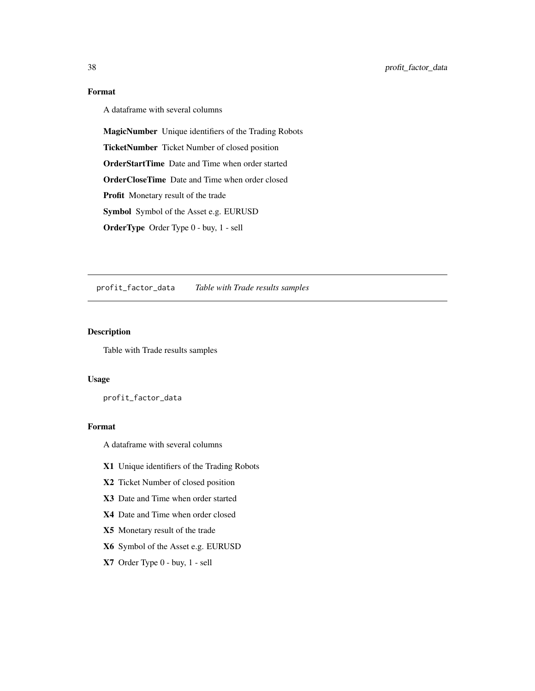## Format

A dataframe with several columns

MagicNumber Unique identifiers of the Trading Robots

TicketNumber Ticket Number of closed position

OrderStartTime Date and Time when order started

OrderCloseTime Date and Time when order closed

Profit Monetary result of the trade

Symbol Symbol of the Asset e.g. EURUSD

OrderType Order Type 0 - buy, 1 - sell

profit\_factor\_data *Table with Trade results samples*

## Description

Table with Trade results samples

## Usage

profit\_factor\_data

#### Format

A dataframe with several columns

- X1 Unique identifiers of the Trading Robots
- X2 Ticket Number of closed position
- X3 Date and Time when order started
- X4 Date and Time when order closed
- X5 Monetary result of the trade
- X6 Symbol of the Asset e.g. EURUSD
- X7 Order Type 0 buy, 1 sell

<span id="page-37-0"></span>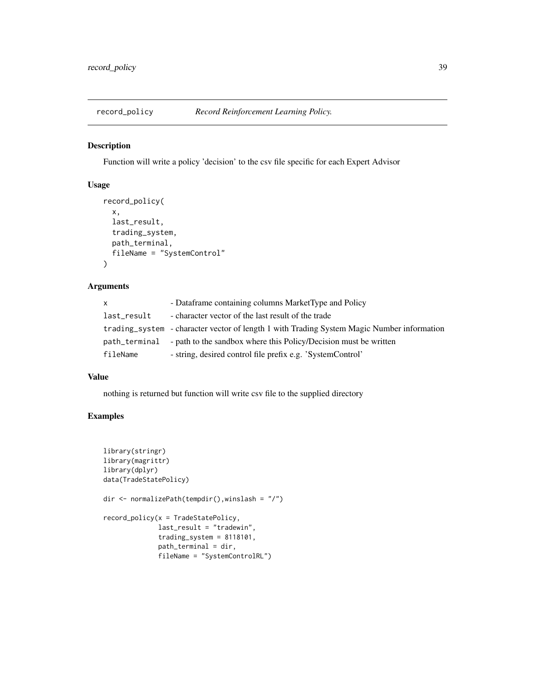<span id="page-38-0"></span>

Function will write a policy 'decision' to the csv file specific for each Expert Advisor

## Usage

```
record_policy(
  x,
 last_result,
  trading_system,
 path_terminal,
 fileName = "SystemControl"
\mathcal{E}
```
## Arguments

| X.            | - Dataframe containing columns MarketType and Policy                                       |
|---------------|--------------------------------------------------------------------------------------------|
| last_result   | - character vector of the last result of the trade                                         |
|               | trading_system - character vector of length 1 with Trading System Magic Number information |
| path_terminal | - path to the sandbox where this Policy/Decision must be written                           |
| fileName      | - string, desired control file prefix e.g. 'SystemControl'                                 |

#### Value

nothing is returned but function will write csv file to the supplied directory

```
library(stringr)
library(magrittr)
library(dplyr)
data(TradeStatePolicy)
dir <- normalizePath(tempdir(),winslash = "/")
record_policy(x = TradeStatePolicy,
              last_result = "tradewin",
              trading_system = 8118101,
              path_terminal = dir,
              fileName = "SystemControlRL")
```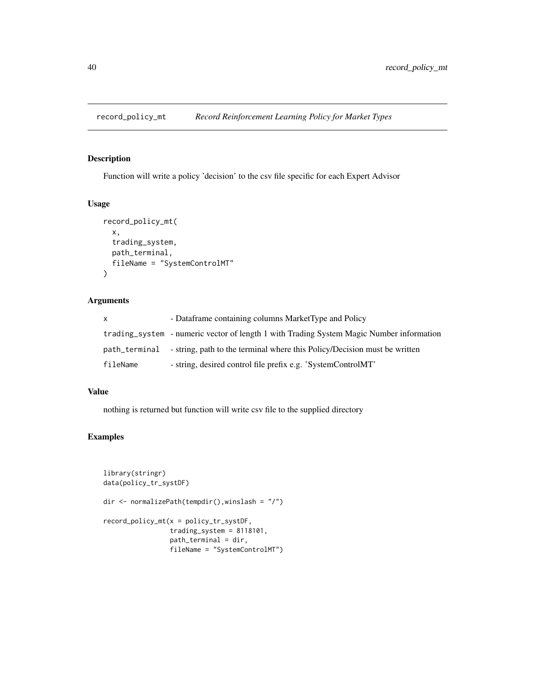<span id="page-39-0"></span>

Function will write a policy 'decision' to the csv file specific for each Expert Advisor

## Usage

```
record_policy_mt(
  x,
  trading_system,
 path_terminal,
  fileName = "SystemControlMT"
)
```
## Arguments

| x.            | - Dataframe containing columns MarketType and Policy                                     |
|---------------|------------------------------------------------------------------------------------------|
|               | trading system - numeric vector of length 1 with Trading System Magic Number information |
| path_terminal | - string, path to the terminal where this Policy/Decision must be written                |
| fileName      | - string, desired control file prefix e.g. 'SystemControlMT'                             |

## Value

nothing is returned but function will write csv file to the supplied directory

```
library(stringr)
data(policy_tr_systDF)
dir <- normalizePath(tempdir(),winslash = "/")
record_policy_mt(x = policy_tr_systDF,
                 trading_system = 8118101,
                 path_terminal = dir,
                 fileName = "SystemControlMT")
```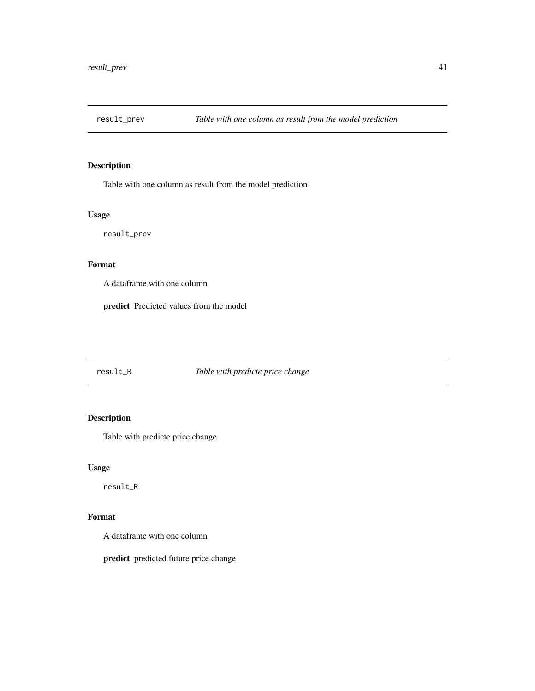<span id="page-40-0"></span>

Table with one column as result from the model prediction

## Usage

result\_prev

## Format

A dataframe with one column

predict Predicted values from the model

## result\_R *Table with predicte price change*

## Description

Table with predicte price change

## Usage

result\_R

## Format

A dataframe with one column

predict predicted future price change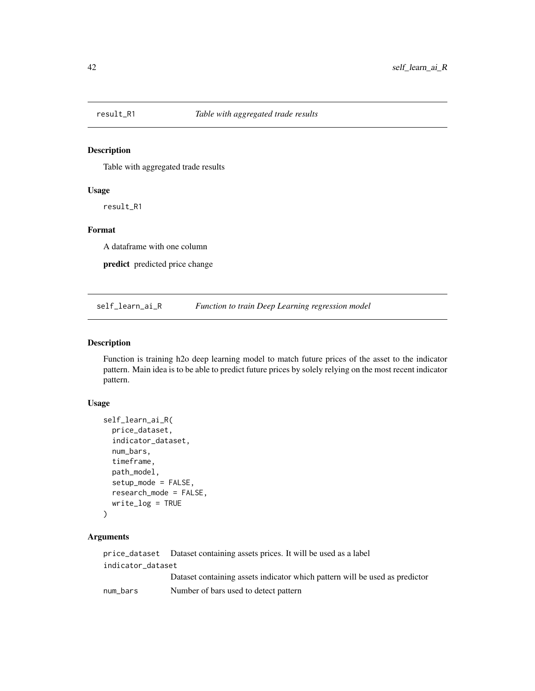<span id="page-41-0"></span>

Table with aggregated trade results

#### Usage

result\_R1

## Format

A dataframe with one column

predict predicted price change

self\_learn\_ai\_R *Function to train Deep Learning regression model*

#### Description

Function is training h2o deep learning model to match future prices of the asset to the indicator pattern. Main idea is to be able to predict future prices by solely relying on the most recent indicator pattern.

## Usage

```
self_learn_ai_R(
 price_dataset,
  indicator_dataset,
  num_bars,
  timeframe,
 path_model,
  setup_mode = FALSE,
  research_mode = FALSE,
 write_log = TRUE
)
```
## Arguments

price\_dataset Dataset containing assets prices. It will be used as a label indicator\_dataset Dataset containing assets indicator which pattern will be used as predictor num\_bars Number of bars used to detect pattern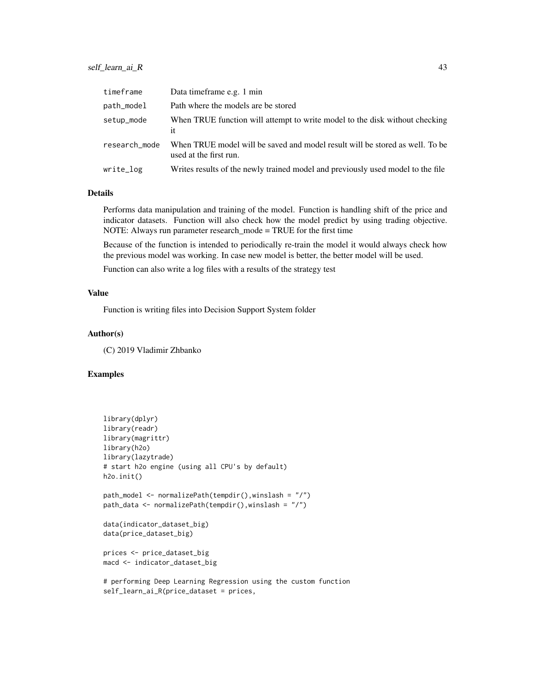## self\_learn\_ai\_R 43

| timeframe     | Data time frame e.g. 1 min                                                                             |
|---------------|--------------------------------------------------------------------------------------------------------|
| path_model    | Path where the models are be stored                                                                    |
| setup_mode    | When TRUE function will attempt to write model to the disk without checking<br>it                      |
| research_mode | When TRUE model will be saved and model result will be stored as well. To be<br>used at the first run. |
| write_log     | Writes results of the newly trained model and previously used model to the file                        |

### Details

Performs data manipulation and training of the model. Function is handling shift of the price and indicator datasets. Function will also check how the model predict by using trading objective. NOTE: Always run parameter research\_mode = TRUE for the first time

Because of the function is intended to periodically re-train the model it would always check how the previous model was working. In case new model is better, the better model will be used.

Function can also write a log files with a results of the strategy test

## Value

Function is writing files into Decision Support System folder

#### Author(s)

(C) 2019 Vladimir Zhbanko

## Examples

```
library(dplyr)
library(readr)
library(magrittr)
library(h2o)
library(lazytrade)
# start h2o engine (using all CPU's by default)
h2o.init()
path_model <- normalizePath(tempdir(),winslash = "/")
path_data <- normalizePath(tempdir(),winslash = "/")
data(indicator_dataset_big)
data(price_dataset_big)
prices <- price_dataset_big
macd <- indicator_dataset_big
```
# performing Deep Learning Regression using the custom function self\_learn\_ai\_R(price\_dataset = prices,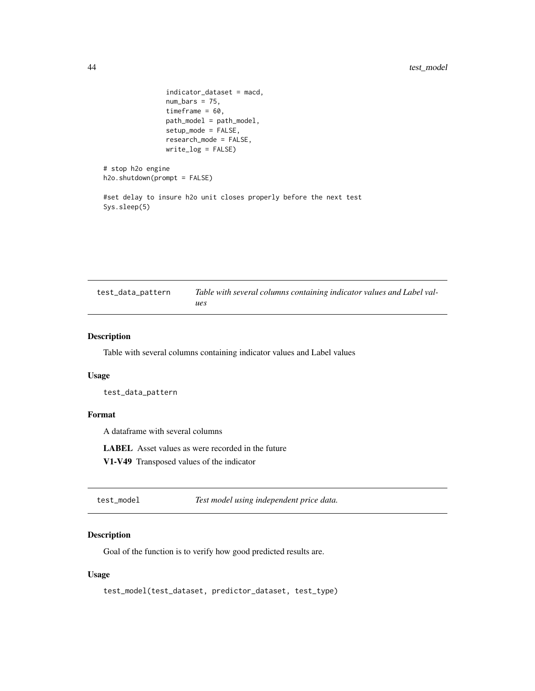```
indicator_dataset = macd,
                num_bars = 75,
                timeframe = 60,
                path_model = path_model,
                setup_mode = FALSE,
                research_mode = FALSE,
                write_log = FALSE)
# stop h2o engine
h2o.shutdown(prompt = FALSE)
```
#set delay to insure h2o unit closes properly before the next test Sys.sleep(5)

| test_data_pattern | Table with several columns containing indicator values and Label val- |
|-------------------|-----------------------------------------------------------------------|
|                   | ues                                                                   |

#### Description

Table with several columns containing indicator values and Label values

#### Usage

test\_data\_pattern

#### Format

A dataframe with several columns

LABEL Asset values as were recorded in the future

V1-V49 Transposed values of the indicator

test\_model *Test model using independent price data.*

## Description

Goal of the function is to verify how good predicted results are.

## Usage

```
test_model(test_dataset, predictor_dataset, test_type)
```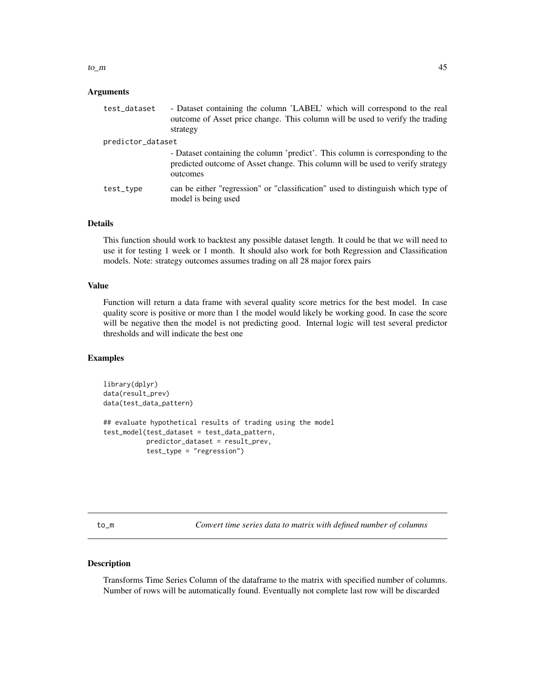#### <span id="page-44-0"></span> $\text{to\_m}$  45

#### Arguments

| test_dataset      | - Dataset containing the column 'LABEL' which will correspond to the real<br>outcome of Asset price change. This column will be used to verify the trading<br>strategy       |
|-------------------|------------------------------------------------------------------------------------------------------------------------------------------------------------------------------|
| predictor_dataset |                                                                                                                                                                              |
|                   | - Dataset containing the column 'predict'. This column is corresponding to the<br>predicted outcome of Asset change. This column will be used to verify strategy<br>outcomes |
| test_type         | can be either "regression" or "classification" used to distinguish which type of<br>model is being used                                                                      |

#### Details

This function should work to backtest any possible dataset length. It could be that we will need to use it for testing 1 week or 1 month. It should also work for both Regression and Classification models. Note: strategy outcomes assumes trading on all 28 major forex pairs

#### Value

Function will return a data frame with several quality score metrics for the best model. In case quality score is positive or more than 1 the model would likely be working good. In case the score will be negative then the model is not predicting good. Internal logic will test several predictor thresholds and will indicate the best one

#### Examples

```
library(dplyr)
data(result_prev)
data(test_data_pattern)
## evaluate hypothetical results of trading using the model
test_model(test_dataset = test_data_pattern,
           predictor_dataset = result_prev,
           test_type = "regression")
```
to\_m *Convert time series data to matrix with defined number of columns*

## Description

Transforms Time Series Column of the dataframe to the matrix with specified number of columns. Number of rows will be automatically found. Eventually not complete last row will be discarded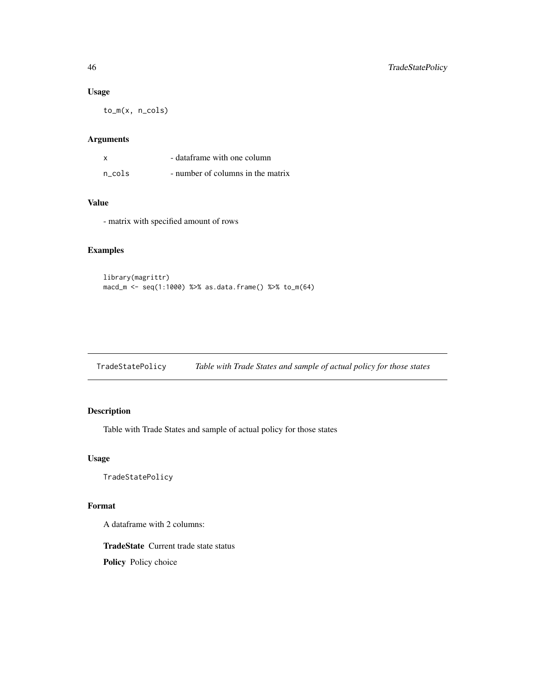#### Usage

to\_m(x, n\_cols)

## Arguments

|        | - dataframe with one column       |
|--------|-----------------------------------|
| n cols | - number of columns in the matrix |

## Value

- matrix with specified amount of rows

## Examples

```
library(magrittr)
macd_m <- seq(1:1000) %>% as.data.frame() %>% to_m(64)
```
TradeStatePolicy *Table with Trade States and sample of actual policy for those states*

## Description

Table with Trade States and sample of actual policy for those states

## Usage

TradeStatePolicy

#### Format

A dataframe with 2 columns:

TradeState Current trade state status Policy Policy choice

<span id="page-45-0"></span>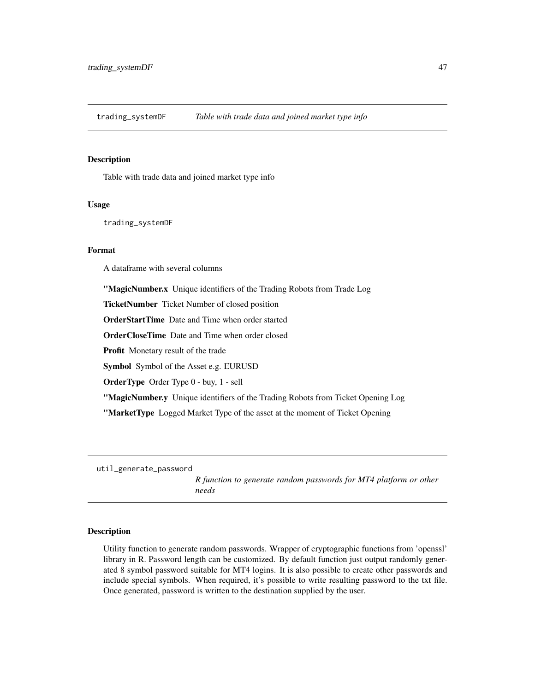<span id="page-46-0"></span>trading\_systemDF *Table with trade data and joined market type info*

#### Description

Table with trade data and joined market type info

#### Usage

trading\_systemDF

#### Format

A dataframe with several columns

"MagicNumber.x Unique identifiers of the Trading Robots from Trade Log

TicketNumber Ticket Number of closed position

OrderStartTime Date and Time when order started

OrderCloseTime Date and Time when order closed

Profit Monetary result of the trade

Symbol Symbol of the Asset e.g. EURUSD

OrderType Order Type 0 - buy, 1 - sell

"MagicNumber.y Unique identifiers of the Trading Robots from Ticket Opening Log

"MarketType Logged Market Type of the asset at the moment of Ticket Opening

util\_generate\_password

*R function to generate random passwords for MT4 platform or other needs*

#### Description

Utility function to generate random passwords. Wrapper of cryptographic functions from 'openssl' library in R. Password length can be customized. By default function just output randomly generated 8 symbol password suitable for MT4 logins. It is also possible to create other passwords and include special symbols. When required, it's possible to write resulting password to the txt file. Once generated, password is written to the destination supplied by the user.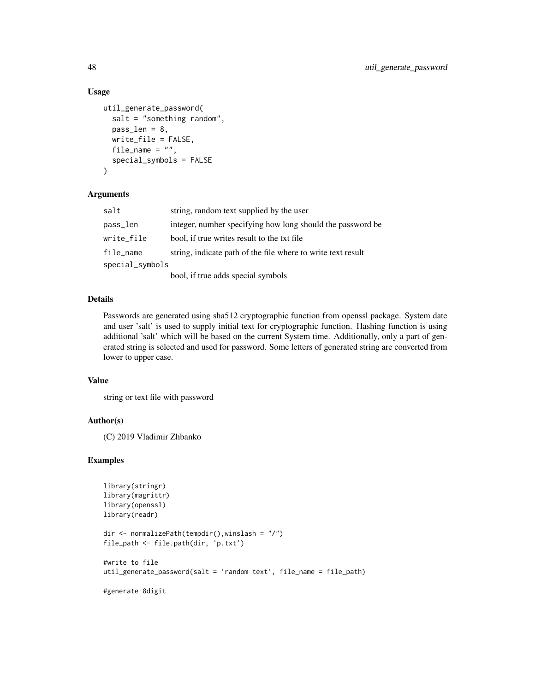#### Usage

```
util_generate_password(
  salt = "something random",
  pass_len = 8,
 write_file = FALSE,
  file_name = ",
  special_symbols = FALSE
)
```
## Arguments

| salt            | string, random text supplied by the user                     |
|-----------------|--------------------------------------------------------------|
| pass_len        | integer, number specifying how long should the password be   |
| write_file      | bool, if true writes result to the txt file.                 |
| file_name       | string, indicate path of the file where to write text result |
| special_symbols |                                                              |
|                 | bool, if true adds special symbols                           |

#### Details

Passwords are generated using sha512 cryptographic function from openssl package. System date and user 'salt' is used to supply initial text for cryptographic function. Hashing function is using additional 'salt' which will be based on the current System time. Additionally, only a part of generated string is selected and used for password. Some letters of generated string are converted from lower to upper case.

#### Value

string or text file with password

#### Author(s)

(C) 2019 Vladimir Zhbanko

```
library(stringr)
library(magrittr)
library(openssl)
library(readr)
dir <- normalizePath(tempdir(),winslash = "/")
file_path <- file.path(dir, 'p.txt')
#write to file
util_generate_password(salt = 'random text', file_name = file_path)
#generate 8digit
```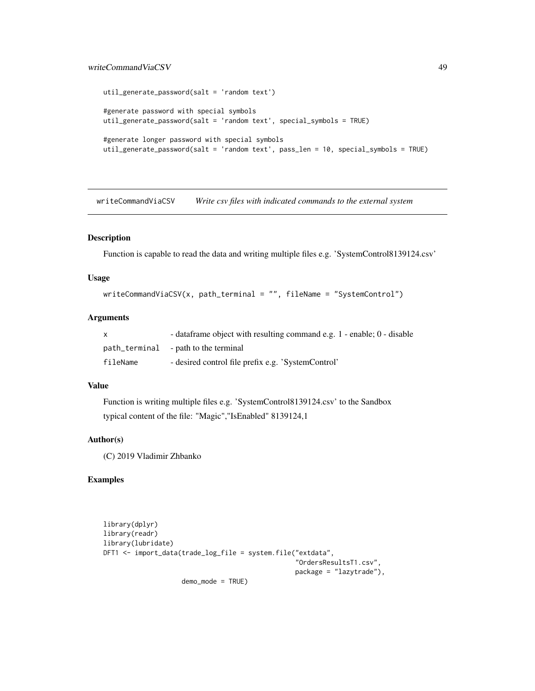#### <span id="page-48-0"></span>writeCommandViaCSV 49

```
util_generate_password(salt = 'random text')
#generate password with special symbols
util_generate_password(salt = 'random text', special_symbols = TRUE)
#generate longer password with special symbols
util_generate_password(salt = 'random text', pass_len = 10, special_symbols = TRUE)
```
writeCommandViaCSV *Write csv files with indicated commands to the external system*

#### Description

Function is capable to read the data and writing multiple files e.g. 'SystemControl8139124.csv'

#### Usage

```
writeCommandViaCSV(x, path_terminal = "", fileName = "SystemControl")
```
#### Arguments

|          | - dataframe object with resulting command e.g. 1 - enable; 0 - disable |
|----------|------------------------------------------------------------------------|
|          | path_terminal - path to the terminal                                   |
| fileName | - desired control file prefix e.g. 'SystemControl'                     |

## Value

Function is writing multiple files e.g. 'SystemControl8139124.csv' to the Sandbox typical content of the file: "Magic","IsEnabled" 8139124,1

## Author(s)

(C) 2019 Vladimir Zhbanko

```
library(dplyr)
library(readr)
library(lubridate)
DFT1 <- import_data(trade_log_file = system.file("extdata",
                                                  "OrdersResultsT1.csv",
                                                 package = "lazytrade"),
                    demo_mode = TRUE)
```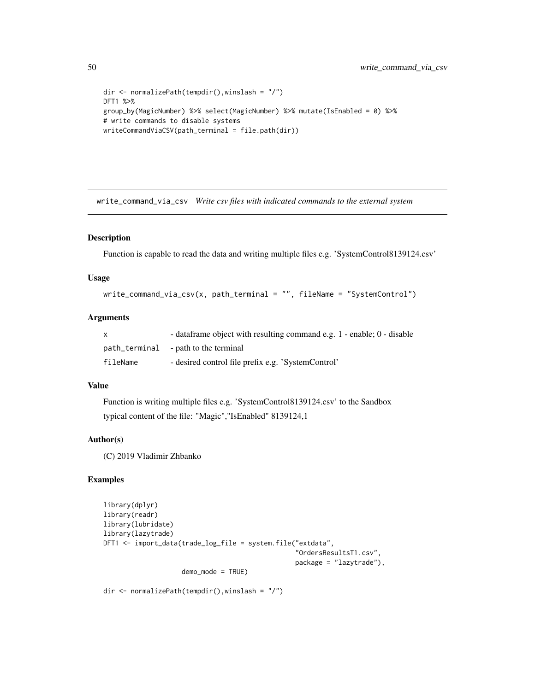```
dir <- normalizePath(tempdir(),winslash = "/")
DFT1 %>%
group_by(MagicNumber) %>% select(MagicNumber) %>% mutate(IsEnabled = 0) %>%
# write commands to disable systems
writeCommandViaCSV(path_terminal = file.path(dir))
```
write\_command\_via\_csv *Write csv files with indicated commands to the external system*

#### Description

Function is capable to read the data and writing multiple files e.g. 'SystemControl8139124.csv'

#### Usage

```
write_command_via_csv(x, path_terminal = "", fileName = "SystemControl")
```
#### Arguments

|          | - dataframe object with resulting command e.g. 1 - enable; 0 - disable |
|----------|------------------------------------------------------------------------|
|          | path_terminal - path to the terminal                                   |
| fileName | - desired control file prefix e.g. 'SystemControl'                     |

## Value

Function is writing multiple files e.g. 'SystemControl8139124.csv' to the Sandbox typical content of the file: "Magic","IsEnabled" 8139124,1

#### Author(s)

(C) 2019 Vladimir Zhbanko

## Examples

```
library(dplyr)
library(readr)
library(lubridate)
library(lazytrade)
DFT1 <- import_data(trade_log_file = system.file("extdata",
                                                  "OrdersResultsT1.csv",
                                                  package = "lazytrade"),
                    demo_mode = TRUE)
```
dir <- normalizePath(tempdir(),winslash = "/")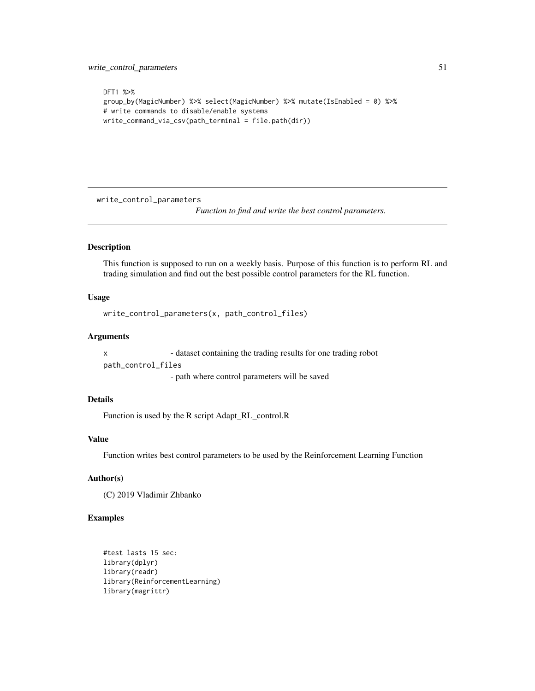```
DFT1 %>%
group_by(MagicNumber) %>% select(MagicNumber) %>% mutate(IsEnabled = 0) %>%
# write commands to disable/enable systems
write_command_via_csv(path_terminal = file.path(dir))
```
write\_control\_parameters

*Function to find and write the best control parameters.*

## Description

This function is supposed to run on a weekly basis. Purpose of this function is to perform RL and trading simulation and find out the best possible control parameters for the RL function.

#### Usage

```
write_control_parameters(x, path_control_files)
```
## Arguments

x - dataset containing the trading results for one trading robot path\_control\_files

- path where control parameters will be saved

## Details

Function is used by the R script Adapt\_RL\_control.R

#### Value

Function writes best control parameters to be used by the Reinforcement Learning Function

## Author(s)

(C) 2019 Vladimir Zhbanko

```
#test lasts 15 sec:
library(dplyr)
library(readr)
library(ReinforcementLearning)
library(magrittr)
```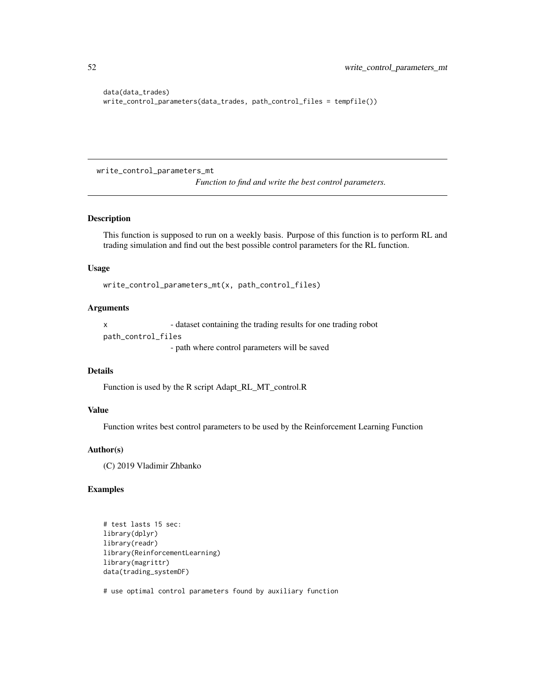```
data(data_trades)
write_control_parameters(data_trades, path_control_files = tempfile())
```
write\_control\_parameters\_mt

*Function to find and write the best control parameters.*

#### Description

This function is supposed to run on a weekly basis. Purpose of this function is to perform RL and trading simulation and find out the best possible control parameters for the RL function.

#### Usage

write\_control\_parameters\_mt(x, path\_control\_files)

#### Arguments

x - dataset containing the trading results for one trading robot path\_control\_files

- path where control parameters will be saved

#### Details

Function is used by the R script Adapt\_RL\_MT\_control.R

#### Value

Function writes best control parameters to be used by the Reinforcement Learning Function

#### Author(s)

(C) 2019 Vladimir Zhbanko

## Examples

```
# test lasts 15 sec:
library(dplyr)
library(readr)
library(ReinforcementLearning)
library(magrittr)
data(trading_systemDF)
```
# use optimal control parameters found by auxiliary function

<span id="page-51-0"></span>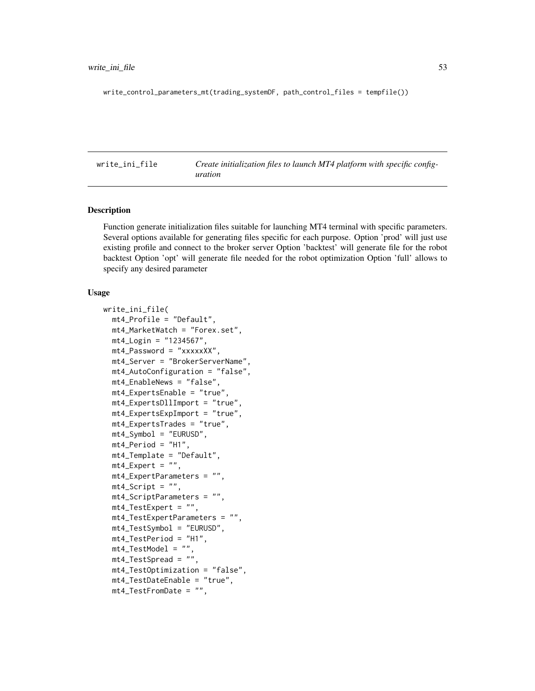<span id="page-52-0"></span>write\_control\_parameters\_mt(trading\_systemDF, path\_control\_files = tempfile())

write\_ini\_file *Create initialization files to launch MT4 platform with specific configuration*

## Description

Function generate initialization files suitable for launching MT4 terminal with specific parameters. Several options available for generating files specific for each purpose. Option 'prod' will just use existing profile and connect to the broker server Option 'backtest' will generate file for the robot backtest Option 'opt' will generate file needed for the robot optimization Option 'full' allows to specify any desired parameter

#### Usage

```
write_ini_file(
  mt4_Profile = "Default",
  mt4_MarketWatch = "Forex.set",
  mt4_Login = "1234567",
  mt4_Password = "xxxxxXX",
  mt4_Server = "BrokerServerName",
  mt4_AutoConfiguration = "false",
  mt4_EnableNews = "false",
  mt4_ExpertsEnable = "true",
  mt4_ExpertsDllImport = "true",
  mt4_ExpertsExpImport = "true",
  mt4_ExpertsTrades = "true",
  mt4_Symbol = "EURUSD",
  mt4<sup>-</sup>Period = "H1",
  mt4_Template = "Default",
  mt4<sub>_</sub>Expert = ",
  mt4_ExpertParameters = "",
  mt4<sub>-</sub>Script = ",
  mt4_ScriptParameters = "",
  mt4_TestExpert = "",
  mt4_TestExpertParameters = "",
  mt4_TestSymbol = "EURUSD",
  mt4_TestPeriod = "H1",
  mt4_TestModel = "",
  mt4_TestSpread = "",
  mt4_TestOptimization = "false",
  mt4_TestDateEnable = "true",
  mt4_TestFromDate = "",
```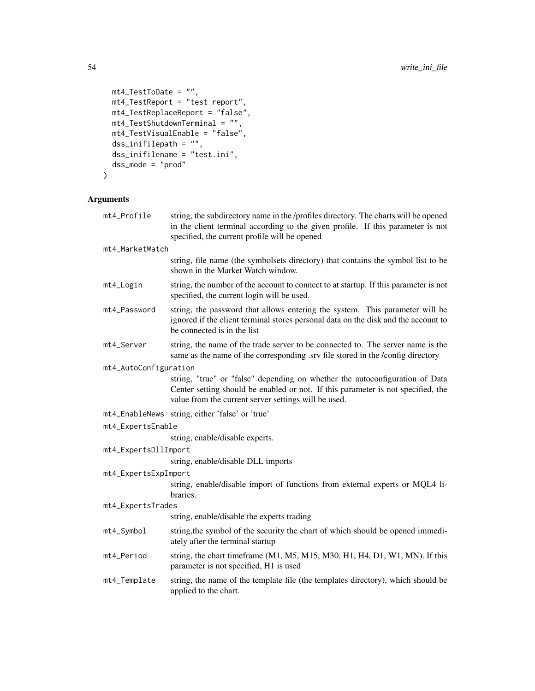```
mt4_TestToDate = "",
 mt4_TestReport = "test report",
 mt4_TestReplaceReport = "false",
 mt4_TestShutdownTerminal = "",
 mt4_TestVisualEnable = "false",
 dss_inifilepath = "",
 dss_inifilename = "test.ini",
 dss_mode = "prod"
)
```
## Arguments

| mt4_Profile           | string, the subdirectory name in the /profiles directory. The charts will be opened<br>in the client terminal according to the given profile. If this parameter is not<br>specified, the current profile will be opened  |  |
|-----------------------|--------------------------------------------------------------------------------------------------------------------------------------------------------------------------------------------------------------------------|--|
| mt4_MarketWatch       |                                                                                                                                                                                                                          |  |
|                       | string, file name (the symbolsets directory) that contains the symbol list to be<br>shown in the Market Watch window.                                                                                                    |  |
| mt4_Login             | string, the number of the account to connect to at startup. If this parameter is not<br>specified, the current login will be used.                                                                                       |  |
| mt4_Password          | string, the password that allows entering the system. This parameter will be<br>ignored if the client terminal stores personal data on the disk and the account to<br>be connected is in the list                        |  |
| mt4_Server            | string, the name of the trade server to be connected to. The server name is the<br>same as the name of the corresponding .srv file stored in the /config directory                                                       |  |
| mt4_AutoConfiguration |                                                                                                                                                                                                                          |  |
|                       | string, "true" or "false" depending on whether the autoconfiguration of Data<br>Center setting should be enabled or not. If this parameter is not specified, the<br>value from the current server settings will be used. |  |
|                       | mt4_EnableNews string, either 'false' or 'true'                                                                                                                                                                          |  |
| mt4_ExpertsEnable     |                                                                                                                                                                                                                          |  |
|                       | string, enable/disable experts.                                                                                                                                                                                          |  |
| mt4_ExpertsDllImport  |                                                                                                                                                                                                                          |  |
|                       | string, enable/disable DLL imports                                                                                                                                                                                       |  |
| mt4_ExpertsExpImport  |                                                                                                                                                                                                                          |  |
|                       | string, enable/disable import of functions from external experts or MQL4 li-<br>braries.                                                                                                                                 |  |
| mt4_ExpertsTrades     |                                                                                                                                                                                                                          |  |
|                       | string, enable/disable the experts trading                                                                                                                                                                               |  |
| mt4_Symbol            | string, the symbol of the security the chart of which should be opened immedi-<br>ately after the terminal startup                                                                                                       |  |
| mt4_Period            | string, the chart timeframe (M1, M5, M15, M30, H1, H4, D1, W1, MN). If this<br>parameter is not specified, H1 is used                                                                                                    |  |
| mt4_Template          | string, the name of the template file (the templates directory), which should be<br>applied to the chart.                                                                                                                |  |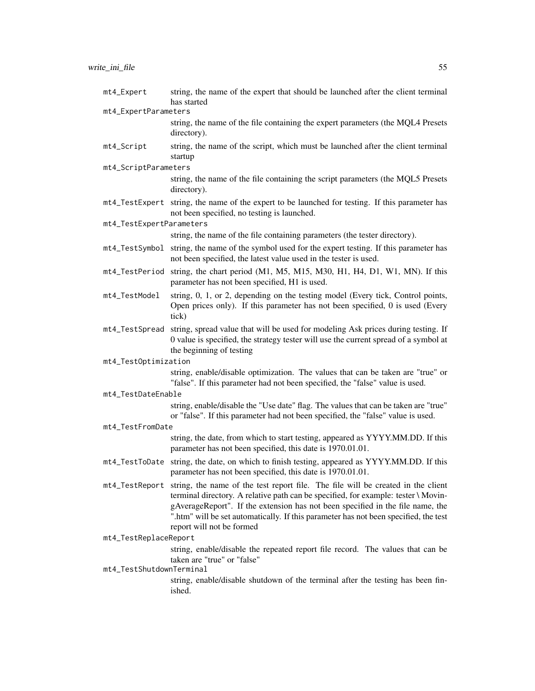| mt4_Expert               | string, the name of the expert that should be launched after the client terminal<br>has started                                                                                                                                                                                                                                                                                              |
|--------------------------|----------------------------------------------------------------------------------------------------------------------------------------------------------------------------------------------------------------------------------------------------------------------------------------------------------------------------------------------------------------------------------------------|
| mt4_ExpertParameters     |                                                                                                                                                                                                                                                                                                                                                                                              |
|                          | string, the name of the file containing the expert parameters (the MQL4 Presets<br>directory).                                                                                                                                                                                                                                                                                               |
| mt4_Script               | string, the name of the script, which must be launched after the client terminal<br>startup                                                                                                                                                                                                                                                                                                  |
| mt4_ScriptParameters     |                                                                                                                                                                                                                                                                                                                                                                                              |
|                          | string, the name of the file containing the script parameters (the MQL5 Presets<br>directory).                                                                                                                                                                                                                                                                                               |
|                          | mt4_TestExpert string, the name of the expert to be launched for testing. If this parameter has<br>not been specified, no testing is launched.                                                                                                                                                                                                                                               |
| mt4_TestExpertParameters |                                                                                                                                                                                                                                                                                                                                                                                              |
|                          | string, the name of the file containing parameters (the tester directory).                                                                                                                                                                                                                                                                                                                   |
|                          | mt4_TestSymbol string, the name of the symbol used for the expert testing. If this parameter has<br>not been specified, the latest value used in the tester is used.                                                                                                                                                                                                                         |
|                          | mt4_TestPeriod string, the chart period (M1, M5, M15, M30, H1, H4, D1, W1, MN). If this<br>parameter has not been specified, H1 is used.                                                                                                                                                                                                                                                     |
| mt4_TestModel            | string, 0, 1, or 2, depending on the testing model (Every tick, Control points,<br>Open prices only). If this parameter has not been specified, 0 is used (Every<br>tick)                                                                                                                                                                                                                    |
| mt4_TestSpread           | string, spread value that will be used for modeling Ask prices during testing. If<br>0 value is specified, the strategy tester will use the current spread of a symbol at<br>the beginning of testing                                                                                                                                                                                        |
| mt4_TestOptimization     |                                                                                                                                                                                                                                                                                                                                                                                              |
|                          | string, enable/disable optimization. The values that can be taken are "true" or<br>"false". If this parameter had not been specified, the "false" value is used.                                                                                                                                                                                                                             |
| mt4_TestDateEnable       |                                                                                                                                                                                                                                                                                                                                                                                              |
|                          | string, enable/disable the "Use date" flag. The values that can be taken are "true"<br>or "false". If this parameter had not been specified, the "false" value is used.                                                                                                                                                                                                                      |
| mt4_TestFromDate         |                                                                                                                                                                                                                                                                                                                                                                                              |
|                          | string, the date, from which to start testing, appeared as YYYY.MM.DD. If this<br>parameter has not been specified, this date is 1970.01.01.                                                                                                                                                                                                                                                 |
| mt4 TestToDate           | string, the date, on which to finish testing, appeared as YYYY.MM.DD. If this<br>parameter has not been specified, this date is 1970.01.01.                                                                                                                                                                                                                                                  |
|                          | mt4_TestReport string, the name of the test report file. The file will be created in the client<br>terminal directory. A relative path can be specified, for example: tester \ Movin-<br>gAverageReport". If the extension has not been specified in the file name, the<br>".htm" will be set automatically. If this parameter has not been specified, the test<br>report will not be formed |
| mt4_TestReplaceReport    |                                                                                                                                                                                                                                                                                                                                                                                              |
|                          | string, enable/disable the repeated report file record. The values that can be<br>taken are "true" or "false"                                                                                                                                                                                                                                                                                |
| mt4_TestShutdownTerminal | string, enable/disable shutdown of the terminal after the testing has been fin-<br>ished.                                                                                                                                                                                                                                                                                                    |
|                          |                                                                                                                                                                                                                                                                                                                                                                                              |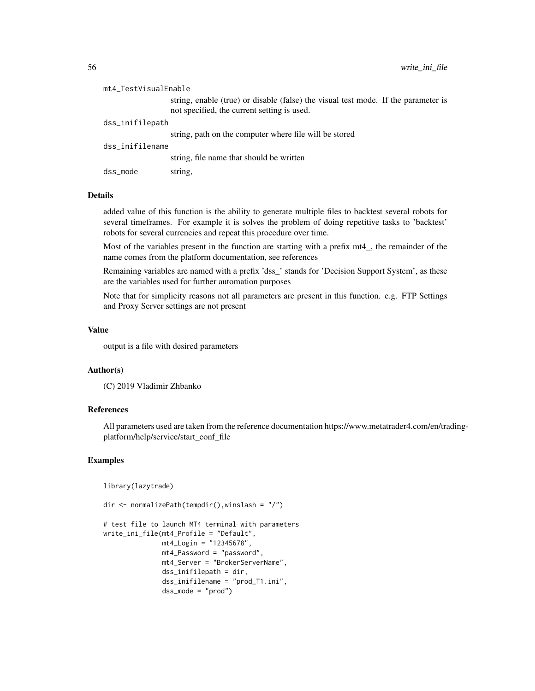| mt4_TestVisualEnable |                                                                                                                                   |  |
|----------------------|-----------------------------------------------------------------------------------------------------------------------------------|--|
|                      | string, enable (true) or disable (false) the visual test mode. If the parameter is<br>not specified, the current setting is used. |  |
| dss_inifilepath      |                                                                                                                                   |  |
|                      | string, path on the computer where file will be stored                                                                            |  |
| dss inifilename      |                                                                                                                                   |  |
|                      | string, file name that should be written                                                                                          |  |
| dss_mode             | string.                                                                                                                           |  |

#### Details

added value of this function is the ability to generate multiple files to backtest several robots for several timeframes. For example it is solves the problem of doing repetitive tasks to 'backtest' robots for several currencies and repeat this procedure over time.

Most of the variables present in the function are starting with a prefix mt4\_, the remainder of the name comes from the platform documentation, see references

Remaining variables are named with a prefix 'dss\_' stands for 'Decision Support System', as these are the variables used for further automation purposes

Note that for simplicity reasons not all parameters are present in this function. e.g. FTP Settings and Proxy Server settings are not present

#### Value

output is a file with desired parameters

#### Author(s)

(C) 2019 Vladimir Zhbanko

#### References

All parameters used are taken from the reference documentation https://www.metatrader4.com/en/tradingplatform/help/service/start\_conf\_file

```
library(lazytrade)
```

```
dir <- normalizePath(tempdir(),winslash = "/")
```

```
# test file to launch MT4 terminal with parameters
write_ini_file(mt4_Profile = "Default",
              mt4_Login = "12345678",
              mt4_Password = "password",
              mt4_Server = "BrokerServerName",
               dss_inifilepath = dir,
               dss_inifilename = "prod_T1.ini",
               dss_mode = "prod")
```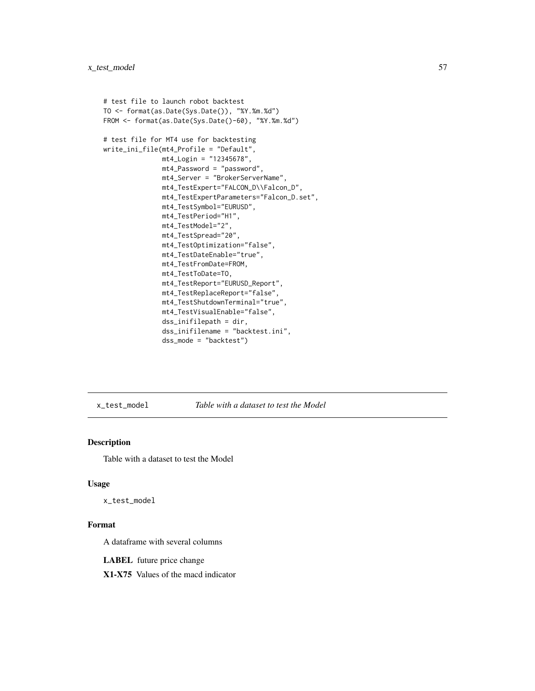```
# test file to launch robot backtest
TO <- format(as.Date(Sys.Date()), "%Y.%m.%d")
FROM <- format(as.Date(Sys.Date()-60), "%Y.%m.%d")
# test file for MT4 use for backtesting
write_ini_file(mt4_Profile = "Default",
               mt4_Login = "12345678",
               mt4_Password = "password",
               mt4_Server = "BrokerServerName",
               mt4_TestExpert="FALCON_D\\Falcon_D",
               mt4_TestExpertParameters="Falcon_D.set",
               mt4_TestSymbol="EURUSD",
               mt4_TestPeriod="H1",
               mt4_TestModel="2",
               mt4_TestSpread="20",
               mt4_TestOptimization="false",
               mt4_TestDateEnable="true",
               mt4_TestFromDate=FROM,
               mt4_TestToDate=TO,
               mt4_TestReport="EURUSD_Report",
               mt4_TestReplaceReport="false",
               mt4_TestShutdownTerminal="true",
               mt4_TestVisualEnable="false",
               dss_inifilepath = dir,
               dss_inifilename = "backtest.ini",
               dss_mode = "backtest")
```
x\_test\_model *Table with a dataset to test the Model*

## Description

Table with a dataset to test the Model

#### Usage

x\_test\_model

#### Format

A dataframe with several columns

LABEL future price change

X1-X75 Values of the macd indicator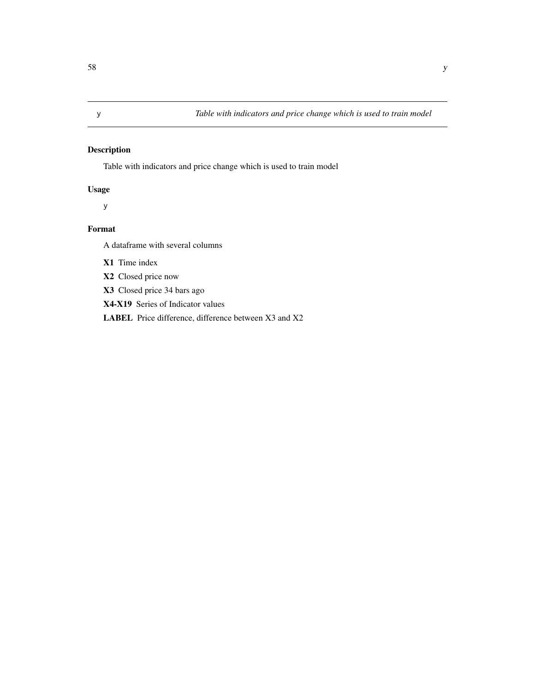<span id="page-57-0"></span>Table with indicators and price change which is used to train model

## Usage

y

## Format

A dataframe with several columns

X1 Time index

X2 Closed price now

X3 Closed price 34 bars ago

X4-X19 Series of Indicator values

LABEL Price difference, difference between X3 and X2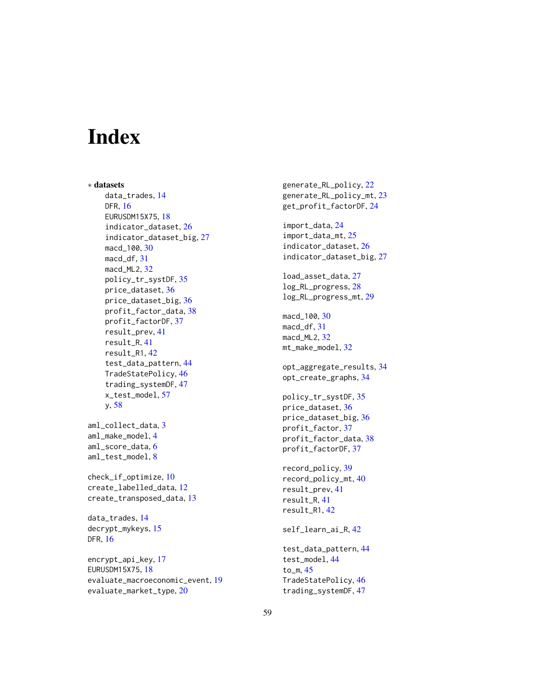# <span id="page-58-0"></span>**Index**

∗ datasets data\_trades, [14](#page-13-0) DFR, [16](#page-15-0) EURUSDM15X75, [18](#page-17-0) indicator\_dataset, [26](#page-25-0) indicator\_dataset\_big, [27](#page-26-0) macd\_100, [30](#page-29-0) macd\_df, [31](#page-30-0) macd\_ML2, [32](#page-31-0) policy\_tr\_systDF, [35](#page-34-0) price\_dataset, [36](#page-35-0) price\_dataset\_big, [36](#page-35-0) profit\_factor\_data, [38](#page-37-0) profit\_factorDF, [37](#page-36-0) result\_prev, [41](#page-40-0) result\_R, [41](#page-40-0) result\_R1, [42](#page-41-0) test\_data\_pattern, [44](#page-43-0) TradeStatePolicy, [46](#page-45-0) trading\_systemDF, [47](#page-46-0) x\_test\_model, [57](#page-56-0) y, [58](#page-57-0) aml\_collect\_data, [3](#page-2-0) aml\_make\_model, [4](#page-3-0) aml\_score\_data, [6](#page-5-0) aml\_test\_model, [8](#page-7-0) check\_if\_optimize, [10](#page-9-0) create\_labelled\_data, [12](#page-11-0) create\_transposed\_data, [13](#page-12-0) data\_trades, [14](#page-13-0) decrypt\_mykeys, [15](#page-14-0) DFR, [16](#page-15-0) encrypt\_api\_key, [17](#page-16-0) EURUSDM15X75, [18](#page-17-0) evaluate\_macroeconomic\_event, [19](#page-18-0) evaluate\_market\_type, [20](#page-19-0)

generate\_RL\_policy, [22](#page-21-0) generate\_RL\_policy\_mt, [23](#page-22-0) get\_profit\_factorDF, [24](#page-23-0) import\_data, [24](#page-23-0) import\_data\_mt, [25](#page-24-0) indicator\_dataset, [26](#page-25-0) indicator\_dataset\_big, [27](#page-26-0) load\_asset\_data, [27](#page-26-0) log\_RL\_progress, [28](#page-27-0) log\_RL\_progress\_mt, [29](#page-28-0) macd\_100, [30](#page-29-0) macd\_df, [31](#page-30-0) macd\_ML2, [32](#page-31-0) mt\_make\_model, [32](#page-31-0) opt\_aggregate\_results, [34](#page-33-0) opt\_create\_graphs, [34](#page-33-0) policy\_tr\_systDF, [35](#page-34-0) price\_dataset, [36](#page-35-0) price\_dataset\_big, [36](#page-35-0) profit\_factor, [37](#page-36-0) profit\_factor\_data, [38](#page-37-0) profit\_factorDF, [37](#page-36-0) record\_policy, [39](#page-38-0) record\_policy\_mt, [40](#page-39-0) result\_prev, [41](#page-40-0) result\_R, [41](#page-40-0) result\_R1, [42](#page-41-0) self\_learn\_ai\_R, [42](#page-41-0) test\_data\_pattern, [44](#page-43-0) test\_model, [44](#page-43-0) to\_m, [45](#page-44-0) TradeStatePolicy, [46](#page-45-0) trading\_systemDF, [47](#page-46-0)